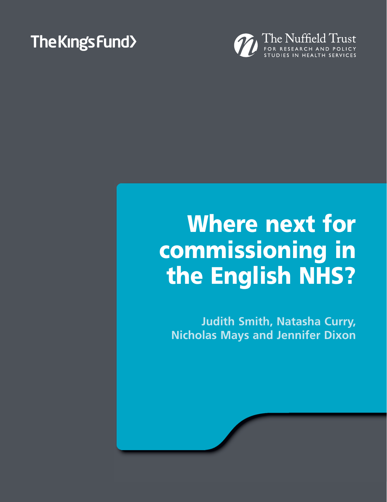# The Kings Fund>



# **Where next for commissioning in the Fnalich NHS? the English NHS?**

**Judith Smith, Natasha Curry, Nicholas Mays and Jennifer Dixon**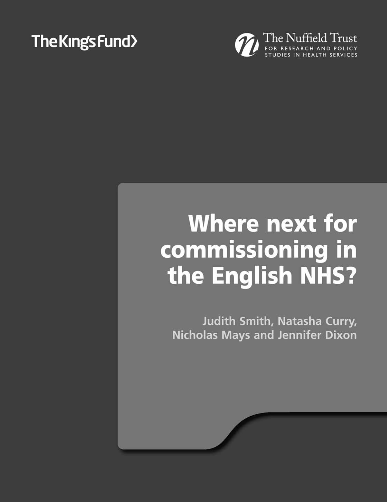# The Kings Fund>



# **Where next for** commissioning in the English NHS?

Judith Smith, Natasha Curry, **Nicholas Mays and Jennifer Dixon**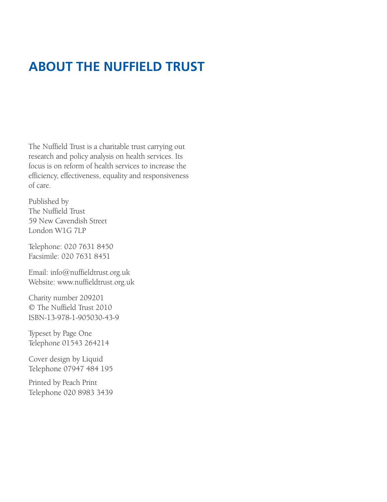# **ABOUT THE NUFFIELD TRUST**

The Nuffield Trust is a charitable trust carrying out research and policy analysis on health services. Its focus is on reform of health services to increase the efficiency, effectiveness, equality and responsiveness of care.

Published by The Nuffield Trust 59 New Cavendish Street London W1G 7LP

Telephone: 020 7631 8450 Facsimile: 020 7631 8451

Email: info@nuffieldtrust.org.uk Website: www.nuffieldtrust.org.uk

Charity number 209201 © The Nuffield Trust 2010 ISBN-13-978-1-905030-43-9

Typeset by Page One Telephone 01543 264214

Cover design by Liquid Telephone 07947 484 195

Printed by Peach Print Telephone 020 8983 3439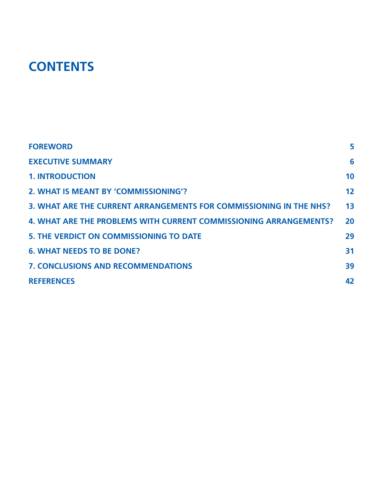# **CONTENTS**

| <b>FOREWORD</b>                                                    | 5              |
|--------------------------------------------------------------------|----------------|
| <b>EXECUTIVE SUMMARY</b>                                           | 6              |
| <b>1. INTRODUCTION</b>                                             | 10             |
| 2. WHAT IS MEANT BY 'COMMISSIONING'?                               | 12             |
| 3. WHAT ARE THE CURRENT ARRANGEMENTS FOR COMMISSIONING IN THE NHS? | 1 <sub>3</sub> |
| 4. WHAT ARE THE PROBLEMS WITH CURRENT COMMISSIONING ARRANGEMENTS?  | 20             |
| <b>5. THE VERDICT ON COMMISSIONING TO DATE</b>                     | 29             |
| <b>6. WHAT NEEDS TO BE DONE?</b>                                   | 31             |
| <b>7. CONCLUSIONS AND RECOMMENDATIONS</b>                          | 39             |
| <b>REFERENCES</b>                                                  | 42             |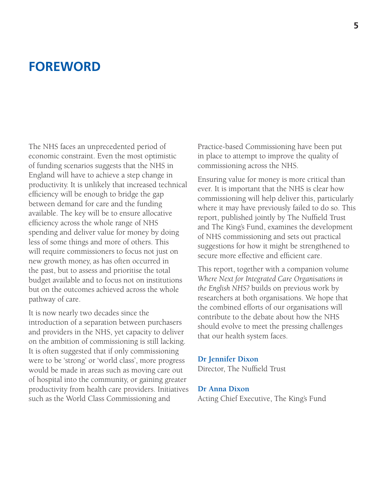# **FOREWORD**

The NHS faces an unprecedented period of economic constraint. Even the most optimistic of funding scenarios suggests that the NHS in England will have to achieve a step change in productivity. It is unlikely that increased technical efficiency will be enough to bridge the gap between demand for care and the funding available. The key will be to ensure allocative efficiency across the whole range of NHS spending and deliver value for money by doing less of some things and more of others. This will require commissioners to focus not just on new growth money, as has often occurred in the past, but to assess and prioritise the total budget available and to focus not on institutions but on the outcomes achieved across the whole pathway of care.

It is now nearly two decades since the introduction of a separation between purchasers and providers in the NHS, yet capacity to deliver on the ambition of commissioning is still lacking. It is often suggested that if only commissioning were to be 'strong' or 'world class', more progress would be made in areas such as moving care out of hospital into the community, or gaining greater productivity from health care providers. Initiatives such as the World Class Commissioning and

Practice-based Commissioning have been put in place to attempt to improve the quality of commissioning across the NHS.

Ensuring value for money is more critical than ever. It is important that the NHS is clear how commissioning will help deliver this, particularly where it may have previously failed to do so. This report, published jointly by The Nuffield Trust and The King's Fund, examines the development of NHS commissioning and sets out practical suggestions for how it might be strengthened to secure more effective and efficient care.

This report, together with a companion volume *Where Next for Integrated Care Organisations in the English NHS?* builds on previous work by researchers at both organisations. We hope that the combined efforts of our organisations will contribute to the debate about how the NHS should evolve to meet the pressing challenges that our health system faces.

#### **Dr Jennifer Dixon**

Director, The Nuffield Trust

#### **Dr Anna Dixon**

Acting Chief Executive, The King's Fund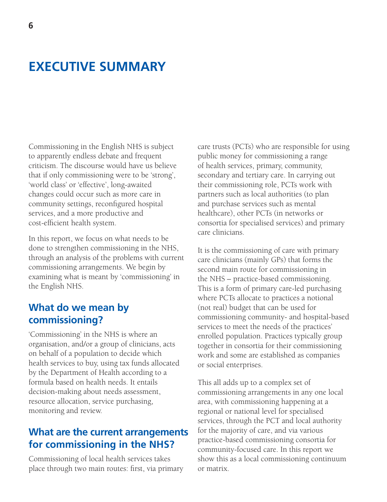# **EXECUTIVE SUMMARY**

Commissioning in the English NHS is subject to apparently endless debate and frequent criticism. The discourse would have us believe that if only commissioning were to be 'strong', 'world class' or 'effective', long-awaited changes could occur such as more care in community settings, reconfigured hospital services, and a more productive and cost-efficient health system.

In this report, we focus on what needs to be done to strengthen commissioning in the NHS, through an analysis of the problems with current commissioning arrangements. We begin by examining what is meant by 'commissioning' in the English NHS.

### **What do we mean by commissioning?**

'Commissioning' in the NHS is where an organisation, and/or a group of clinicians, acts on behalf of a population to decide which health services to buy, using tax funds allocated by the Department of Health according to a formula based on health needs. It entails decision-making about needs assessment, resource allocation, service purchasing, monitoring and review.

### **What are the current arrangements for commissioning in the NHS?**

Commissioning of local health services takes place through two main routes: first, via primary care trusts (PCTs) who are responsible for using public money for commissioning a range of health services, primary, community, secondary and tertiary care. In carrying out their commissioning role, PCTs work with partners such as local authorities (to plan and purchase services such as mental healthcare), other PCTs (in networks or consortia for specialised services) and primary care clinicians.

It is the commissioning of care with primary care clinicians (mainly GPs) that forms the second main route for commissioning in the NHS – practice-based commissioning. This is a form of primary care-led purchasing where PCTs allocate to practices a notional (not real) budget that can be used for commissioning community- and hospital-based services to meet the needs of the practices' enrolled population. Practices typically group together in consortia for their commissioning work and some are established as companies or social enterprises.

This all adds up to a complex set of commissioning arrangements in any one local area, with commissioning happening at a regional or national level for specialised services, through the PCT and local authority for the majority of care, and via various practice-based commissioning consortia for community-focused care. In this report we show this as a local commissioning continuum or matrix.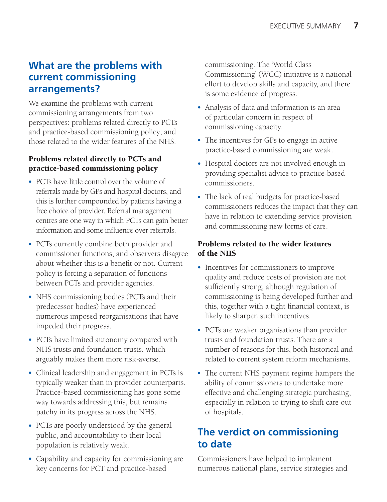### **What are the problems with current commissioning arrangements?**

We examine the problems with current commissioning arrangements from two perspectives: problems related directly to PCTs and practice-based commissioning policy; and those related to the wider features of the NHS.

#### **Problems related directly to PCTs and practice-based commissioning policy**

- PCTs have little control over the volume of referrals made by GPs and hospital doctors, and this is further compounded by patients having a free choice of provider. Referral management centres are one way in which PCTs can gain better information and some influence over referrals.
- PCTs currently combine both provider and commissioner functions, and observers disagree about whether this is a benefit or not. Current policy is forcing a separation of functions between PCTs and provider agencies.
- NHS commissioning bodies (PCTs and their predecessor bodies) have experienced numerous imposed reorganisations that have impeded their progress.
- PCTs have limited autonomy compared with NHS trusts and foundation trusts, which arguably makes them more risk-averse.
- Clinical leadership and engagement in PCTs is typically weaker than in provider counterparts. Practice-based commissioning has gone some way towards addressing this, but remains patchy in its progress across the NHS.
- PCTs are poorly understood by the general public, and accountability to their local population is relatively weak.
- Capability and capacity for commissioning are key concerns for PCT and practice-based

commissioning. The 'World Class Commissioning' (WCC) initiative is a national effort to develop skills and capacity, and there is some evidence of progress.

- Analysis of data and information is an area of particular concern in respect of commissioning capacity.
- The incentives for GPs to engage in active practice-based commissioning are weak.
- Hospital doctors are not involved enough in providing specialist advice to practice-based commissioners.
- The lack of real budgets for practice-based commissioners reduces the impact that they can have in relation to extending service provision and commissioning new forms of care.

#### **Problems related to the wider features of the NHS**

- Incentives for commissioners to improve quality and reduce costs of provision are not sufficiently strong, although regulation of commissioning is being developed further and this, together with a tight financial context, is likely to sharpen such incentives.
- PCTs are weaker organisations than provider trusts and foundation trusts. There are a number of reasons for this, both historical and related to current system reform mechanisms.
- The current NHS payment regime hampers the ability of commissioners to undertake more effective and challenging strategic purchasing, especially in relation to trying to shift care out of hospitals.

## **The verdict on commissioning to date**

Commissioners have helped to implement numerous national plans, service strategies and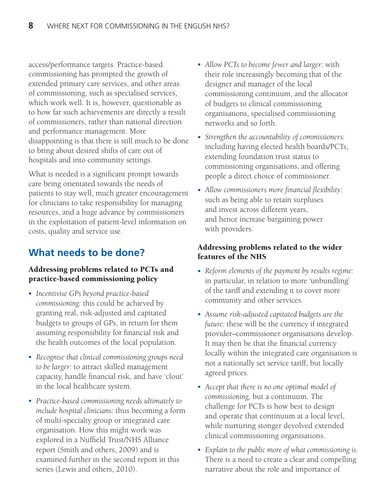access/performance targets. Practice-based commissioning has prompted the growth of extended primary care services, and other areas of commissioning, such as specialised services, which work well. It is, however, questionable as to how far such achievements are directly a result of commissioners, rather than national direction and performance management. More disappointing is that there is still much to be done to bring about desired shifts of care out of hospitals and into community settings.

What is needed is a significant prompt towards care being orientated towards the needs of patients to stay well, much greater encouragement for clinicians to take responsibility for managing resources, and a huge advance by commissioners in the exploitation of patient-level information on costs, quality and service use.

# **What needs to be done?**

#### **Addressing problems related to PCTs and practice-based commissioning policy**

- *Incentivise GPs beyond practice-based commissioning:* this could be achieved by granting real, risk-adjusted and capitated budgets to groups of GPs, in return for them assuming responsibility for financial risk and the health outcomes of the local population.
- *Recognise that clinical commissioning groups need to be larger:* to attract skilled management capacity, handle financial risk, and have 'clout' in the local healthcare system.
- *Practice-based commissioning needs ultimately to include hospital clinicians:* thus becoming a form of multi-specialty group or integrated care organisation. How this might work was explored in a Nuffield Trust/NHS Alliance report (Smith and others, 2009) and is examined further in the second report in this series (Lewis and others, 2010).
- *Allow PCTs to become fewer and larger:* with their role increasingly becoming that of the designer and manager of the local commissioning continuum, and the allocator of budgets to clinical commissioning organisations, specialised commissioning networks and so forth.
- *Strengthen the accountability of commissioners:* including having elected health boards/PCTs, extending foundation trust status to commissioning organisations, and offering people a direct choice of commissioner.
- *Allow commissioners more financial flexibility:* such as being able to retain surpluses and invest across different years, and hence increase bargaining power with providers.

#### **Addressing problems related to the wider features of the NHS**

- *Reform elements of the payment by results regime:* in particular, in relation to more 'unbundling' of the tariff and extending it to cover more community and other services.
- *Assume risk-adjusted capitated budgets are the future:* these will be the currency if integrated provider–commissioner organisations develop. It may then be that the financial currency locally within the integrated care organisation is not a nationally set service tariff, but locally agreed prices.
- *Accept that there is no one optimal model of commissioning,* but a continuum. The challenge for PCTs is how best to design and operate that continuum at a local level, while nurturing stonger devolved extended clinical commissioning organisations.
- *Explain to the public more of what commissioning is.* There is a need to create a clear and compelling narrative about the role and importance of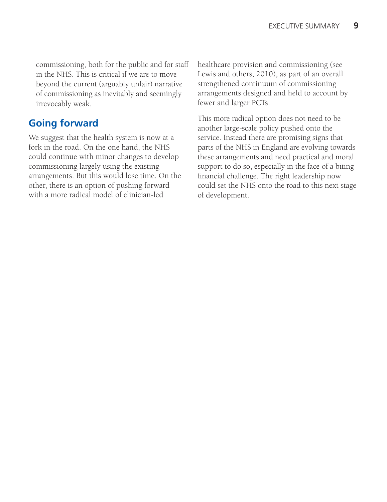commissioning, both for the public and for staff in the NHS. This is critical if we are to move beyond the current (arguably unfair) narrative of commissioning as inevitably and seemingly irrevocably weak.

## **Going forward**

We suggest that the health system is now at a fork in the road. On the one hand, the NHS could continue with minor changes to develop commissioning largely using the existing arrangements. But this would lose time. On the other, there is an option of pushing forward with a more radical model of clinician-led

healthcare provision and commissioning (see Lewis and others, 2010), as part of an overall strengthened continuum of commissioning arrangements designed and held to account by fewer and larger PCTs.

This more radical option does not need to be another large-scale policy pushed onto the service. Instead there are promising signs that parts of the NHS in England are evolving towards these arrangements and need practical and moral support to do so, especially in the face of a biting financial challenge. The right leadership now could set the NHS onto the road to this next stage of development.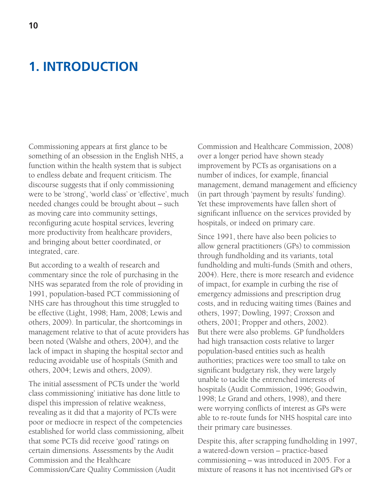# **1. INTRODUCTION**

Commissioning appears at first glance to be something of an obsession in the English NHS, a function within the health system that is subject to endless debate and frequent criticism. The discourse suggests that if only commissioning were to be 'strong', 'world class' or 'effective', much needed changes could be brought about – such as moving care into community settings, reconfiguring acute hospital services, levering more productivity from healthcare providers, and bringing about better coordinated, or integrated, care.

But according to a wealth of research and commentary since the role of purchasing in the NHS was separated from the role of providing in 1991, population-based PCT commissioning of NHS care has throughout this time struggled to be effective (Light, 1998; Ham, 2008; Lewis and others, 2009). In particular, the shortcomings in management relative to that of acute providers has been noted (Walshe and others, 2004), and the lack of impact in shaping the hospital sector and reducing avoidable use of hospitals (Smith and others, 2004; Lewis and others, 2009).

The initial assessment of PCTs under the 'world class commissioning' initiative has done little to dispel this impression of relative weakness, revealing as it did that a majority of PCTs were poor or mediocre in respect of the competencies established for world class commissioning, albeit that some PCTs did receive 'good' ratings on certain dimensions. Assessments by the Audit Commission and the Healthcare Commission/Care Quality Commission (Audit

Commission and Healthcare Commission, 2008) over a longer period have shown steady improvement by PCTs as organisations on a number of indices, for example, financial management, demand management and efficiency (in part through 'payment by results' funding). Yet these improvements have fallen short of significant influence on the services provided by hospitals, or indeed on primary care.

Since 1991, there have also been policies to allow general practitioners (GPs) to commission through fundholding and its variants, total fundholding and multi-funds (Smith and others, 2004). Here, there is more research and evidence of impact, for example in curbing the rise of emergency admissions and prescription drug costs, and in reducing waiting times (Baines and others, 1997; Dowling, 1997; Croxson and others, 2001; Propper and others, 2002). But there were also problems. GP fundholders had high transaction costs relative to larger population-based entities such as health authorities; practices were too small to take on significant budgetary risk, they were largely unable to tackle the entrenched interests of hospitals (Audit Commission, 1996; Goodwin, 1998; Le Grand and others, 1998), and there were worrying conflicts of interest as GPs were able to re-route funds for NHS hospital care into their primary care businesses.

Despite this, after scrapping fundholding in 1997, a watered-down version – practice-based commissioning – was introduced in 2005. For a mixture of reasons it has not incentivised GPs or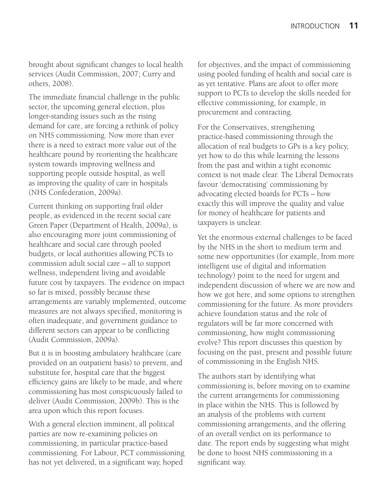brought about significant changes to local health services (Audit Commission, 2007; Curry and others, 2008).

The immediate financial challenge in the public sector, the upcoming general election, plus longer-standing issues such as the rising demand for care, are forcing a rethink of policy on NHS commissioning. Now more than ever there is a need to extract more value out of the healthcare pound by reorienting the healthcare system towards improving wellness and supporting people outside hospital, as well as improving the quality of care in hospitals (NHS Confederation, 2009a).

Current thinking on supporting frail older people, as evidenced in the recent social care Green Paper (Department of Health, 2009a), is also encouraging more joint commissioning of healthcare and social care through pooled budgets, or local authorities allowing PCTs to commission adult social care – all to support wellness, independent living and avoidable future cost by taxpayers. The evidence on impact so far is mixed, possibly because these arrangements are variably implemented, outcome measures are not always specified, monitoring is often inadequate, and government guidance to different sectors can appear to be conflicting (Audit Commission, 2009a).

But it is in boosting ambulatory healthcare (care provided on an outpatient basis) to prevent, and substitute for, hospital care that the biggest efficiency gains are likely to be made, and where commissioning has most conspicuously failed to deliver (Audit Commission, 2009b). This is the area upon which this report focuses.

With a general election imminent, all political parties are now re-examining policies on commissioning, in particular practice-based commissioning. For Labour, PCT commissioning has not yet delivered, in a significant way, hoped

for objectives, and the impact of commissioning using pooled funding of health and social care is as yet tentative. Plans are afoot to offer more support to PCTs to develop the skills needed for effective commissioning, for example, in procurement and contracting.

For the Conservatives, strengthening practice-based commissioning through the allocation of real budgets to GPs is a key policy, yet how to do this while learning the lessons from the past and within a tight economic context is not made clear. The Liberal Democrats favour 'democratising' commissioning by advocating elected boards for PCTs – how exactly this will improve the quality and value for money of healthcare for patients and taxpayers is unclear.

Yet the enormous external challenges to be faced by the NHS in the short to medium term and some new opportunities (for example, from more intelligent use of digital and information technology) point to the need for urgent and independent discussion of where we are now and how we got here, and some options to strengthen commissioning for the future. As more providers achieve foundation status and the role of regulators will be far more concerned with commissioning, how might commissioning evolve? This report discusses this question by focusing on the past, present and possible future of commissioning in the English NHS.

The authors start by identifying what commissioning is, before moving on to examine the current arrangements for commissioning in place within the NHS. This is followed by an analysis of the problems with current commissioning arrangements, and the offering of an overall verdict on its performance to date. The report ends by suggesting what might be done to boost NHS commissioning in a significant way.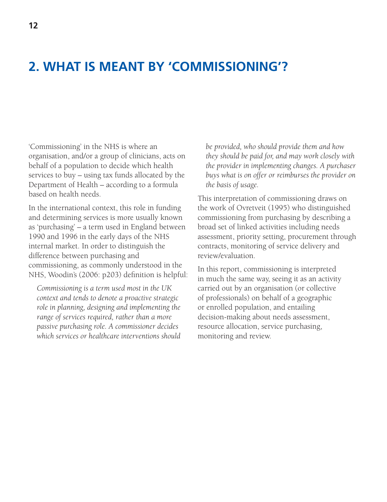# **2. WHAT IS MEANT BY 'COMMISSIONING'?**

'Commissioning' in the NHS is where an organisation, and/or a group of clinicians, acts on behalf of a population to decide which health services to buy – using tax funds allocated by the Department of Health – according to a formula based on health needs.

In the international context, this role in funding and determining services is more usually known as 'purchasing' – a term used in England between 1990 and 1996 in the early days of the NHS internal market. In order to distinguish the difference between purchasing and commissioning, as commonly understood in the NHS, Woodin's (2006: p203) definition is helpful:

*Commissioning is a term used most in the UK context and tends to denote a proactive strategic role in planning, designing and implementing the range of services required, rather than a more passive purchasing role. A commissioner decides which services or healthcare interventions should*  *be provided, who should provide them and how they should be paid for, and may work closely with the provider in implementing changes. A purchaser buys what is on offer or reimburses the provider on the basis of usage.*

This interpretation of commissioning draws on the work of Ovretveit (1995) who distinguished commissioning from purchasing by describing a broad set of linked activities including needs assessment, priority setting, procurement through contracts, monitoring of service delivery and review/evaluation.

In this report, commissioning is interpreted in much the same way, seeing it as an activity carried out by an organisation (or collective of professionals) on behalf of a geographic or enrolled population, and entailing decision-making about needs assessment, resource allocation, service purchasing, monitoring and review.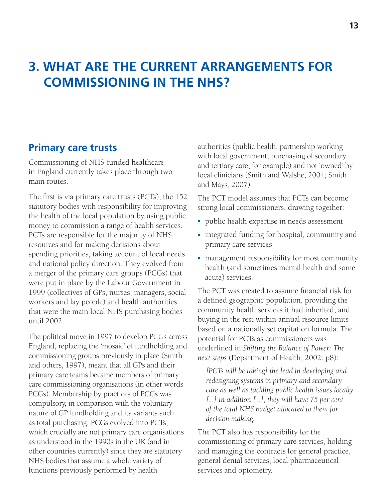# **3. WHAT ARE THE CURRENT ARRANGEMENTS FOR COMMISSIONING IN THE NHS?**

#### **Primary care trusts**

Commissioning of NHS-funded healthcare in England currently takes place through two main routes.

The first is via primary care trusts (PCTs), the 152 statutory bodies with responsibility for improving the health of the local population by using public money to commission a range of health services. PCTs are responsible for the majority of NHS resources and for making decisions about spending priorities, taking account of local needs and national policy direction. They evolved from a merger of the primary care groups (PCGs) that were put in place by the Labour Government in 1999 (collectives of GPs, nurses, managers, social workers and lay people) and health authorities that were the main local NHS purchasing bodies until 2002.

The political move in 1997 to develop PCGs across England, replacing the 'mosaic' of fundholding and commissioning groups previously in place (Smith and others, 1997), meant that all GPs and their primary care teams became members of primary care commissioning organisations (in other words PCGs). Membership by practices of PCGs was compulsory, in comparison with the voluntary nature of GP fundholding and its variants such as total purchasing. PCGs evolved into PCTs, which crucially are not primary care organisations as understood in the 1990s in the UK (and in other countries currently) since they are statutory NHS bodies that assume a whole variety of functions previously performed by health

authorities (public health, partnership working with local government, purchasing of secondary and tertiary care, for example) and not 'owned' by local clinicians (Smith and Walshe, 2004; Smith and Mays, 2007).

The PCT model assumes that PCTs can become strong local commissioners, drawing together:

- public health expertise in needs assessment
- integrated funding for hospital, community and primary care services
- management responsibility for most community health (and sometimes mental health and some acute) services.

The PCT was created to assume financial risk for a defined geographic population, providing the community health services it had inherited, and buying in the rest within annual resource limits based on a nationally set capitation formula. The potential for PCTs as commissioners was underlined in *Shifting the Balance of Power: The next steps* (Department of Health, 2002: p8):

*[PCTs will be taking] the lead in developing and redesigning systems in primary and secondary care as well as tackling public health issues locally [...] In addition [...], they will have 75 per cent of the total NHS budget allocated to them for decision making.*

The PCT also has responsibility for the commissioning of primary care services, holding and managing the contracts for general practice, general dental services, local pharmaceutical services and optometry.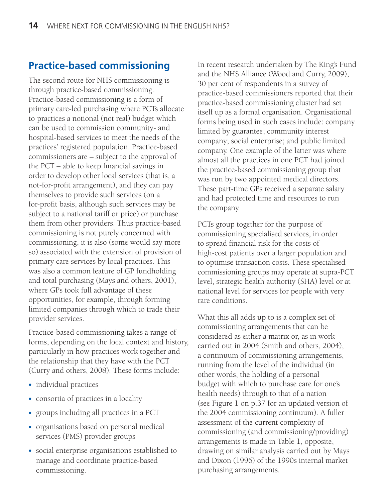### **Practice-based commissioning**

The second route for NHS commissioning is through practice-based commissioning. Practice-based commissioning is a form of primary care-led purchasing where PCTs allocate to practices a notional (not real) budget which can be used to commission community- and hospital-based services to meet the needs of the practices' registered population. Practice-based commissioners are – subject to the approval of the PCT – able to keep financial savings in order to develop other local services (that is, a not-for-profit arrangement), and they can pay themselves to provide such services (on a for-profit basis, although such services may be subject to a national tariff or price) or purchase them from other providers. Thus practice-based commissioning is not purely concerned with commissioning, it is also (some would say more so) associated with the extension of provision of primary care services by local practices. This was also a common feature of GP fundholding and total purchasing (Mays and others, 2001), where GPs took full advantage of these opportunities, for example, through forming limited companies through which to trade their provider services.

Practice-based commissioning takes a range of forms, depending on the local context and history, particularly in how practices work together and the relationship that they have with the PCT (Curry and others, 2008). These forms include:

- individual practices
- consortia of practices in a locality
- groups including all practices in a PCT
- organisations based on personal medical services (PMS) provider groups
- social enterprise organisations established to manage and coordinate practice-based commissioning.

In recent research undertaken by The King's Fund and the NHS Alliance (Wood and Curry, 2009), 30 per cent of respondents in a survey of practice-based commissioners reported that their practice-based commissioning cluster had set itself up as a formal organisation. Organisational forms being used in such cases include: company limited by guarantee; community interest company; social enterprise; and public limited company. One example of the latter was where almost all the practices in one PCT had joined the practice-based commissioning group that was run by two appointed medical directors. These part-time GPs received a separate salary and had protected time and resources to run the company.

PCTs group together for the purpose of commissioning specialised services, in order to spread financial risk for the costs of high-cost patients over a larger population and to optimise transaction costs. These specialised commissioning groups may operate at supra-PCT level, strategic health authority (SHA) level or at national level for services for people with very rare conditions.

What this all adds up to is a complex set of commissioning arrangements that can be considered as either a matrix or, as in work carried out in 2004 (Smith and others, 2004), a continuum of commissioning arrangements, running from the level of the individual (in other words, the holding of a personal budget with which to purchase care for one's health needs) through to that of a nation (see Figure 1 on p.37 for an updated version of the 2004 commissioning continuum). A fuller assessment of the current complexity of commissioning (and commissioning/providing) arrangements is made in Table 1, opposite, drawing on similar analysis carried out by Mays and Dixon (1996) of the 1990s internal market purchasing arrangements.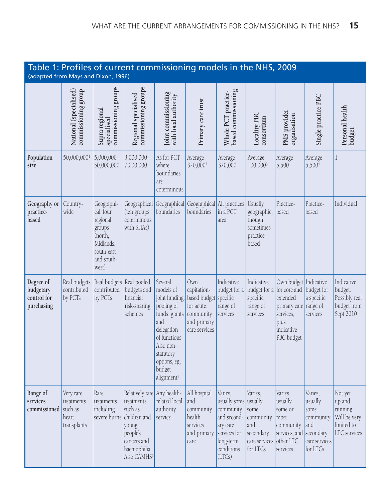| Table 1: Profiles of current commissioning models in the NHS, 2009<br>(adapted from Mays and Dixon, 1996) |                                                 |                                                                                                            |                                                                                                                                                     |                                                                                                                                                                                           |                                                                                                        |                                                                                                                      |                                                                                                    |                                                                                                                             |                                                                                          |                                                                             |
|-----------------------------------------------------------------------------------------------------------|-------------------------------------------------|------------------------------------------------------------------------------------------------------------|-----------------------------------------------------------------------------------------------------------------------------------------------------|-------------------------------------------------------------------------------------------------------------------------------------------------------------------------------------------|--------------------------------------------------------------------------------------------------------|----------------------------------------------------------------------------------------------------------------------|----------------------------------------------------------------------------------------------------|-----------------------------------------------------------------------------------------------------------------------------|------------------------------------------------------------------------------------------|-----------------------------------------------------------------------------|
|                                                                                                           | National (specialised)<br>commissioning group   | commissioning groups<br>Supra-regional<br>specialised                                                      | commissioning groups<br>Regional specialised                                                                                                        | Joint commissioning<br>with local authority                                                                                                                                               | Primary care trust                                                                                     | based commissioning<br>Whole PCT practice-                                                                           | Locality PBC<br>consortium                                                                         | PMS provider<br>organisation                                                                                                | Single practice PBC                                                                      | Personal health<br>budget                                                   |
| Population<br>size                                                                                        | 50,000,0001                                     | $5,000,000 -$<br>50,000,000                                                                                | 3,000,000-<br>7,000,000                                                                                                                             | As for PCT<br>where<br>boundaries<br>are<br>coterminous                                                                                                                                   | Average<br>320,000 <sup>2</sup>                                                                        | Average<br>320,000                                                                                                   | Average<br>100,0003                                                                                | Average<br>5,500                                                                                                            | Average<br>5,500 <sup>4</sup>                                                            | $\mathbf{1}$                                                                |
| Geography or<br>practice-<br>based                                                                        | Country-<br>wide                                | Geographi-<br>cal: four<br>regional<br>groups<br>(north,<br>Midlands,<br>south-east<br>and south-<br>west) | Geographical<br>(ten groups<br>coterminous<br>with SHAs)                                                                                            | Geographical<br>boundaries                                                                                                                                                                | Geographical All practices Usually<br>boundaries                                                       | in a PCT<br>area                                                                                                     | geographic,<br>though<br>sometimes<br>practice-<br>based                                           | Practice-<br>based                                                                                                          | Practice-<br>based                                                                       | Individual                                                                  |
| Degree of<br>budgetary<br>control for<br>purchasing                                                       | Real budgets<br>contributed<br>by PCTs          | Real budgets Real pooled<br>contributed<br>by PCTs                                                         | budgets and<br>financial<br>risk-sharing<br>schemes                                                                                                 | Several<br>models of<br>joint funding:<br>pooling of<br>funds, grants<br>and<br>delegation<br>of functions.<br>Also non-<br>statutory<br>options, eg,<br>budget<br>alignment <sup>5</sup> | Own<br>capitation-<br>based budget specific<br>for acute,<br>community<br>and primary<br>care services | Indicative<br>budget for a<br>range of<br>services                                                                   | Indicative<br>budget for a<br>specific<br>range of<br>services                                     | Own budget Indicative<br>for core and<br>extended<br>primary care range of<br>services,<br>plus<br>indicative<br>PBC budget | budget for<br>a specific<br>services                                                     | Indicative<br>budget.<br>Possibly real<br>budget from<br>Sept 2010          |
| Range of<br>services<br>commissioned such as                                                              | Very rare<br>treatments<br>heart<br>transplants | Rare<br>treatments<br>including<br>severe burns                                                            | Relatively rare Any health-<br>treatments<br>such as<br>children and<br>young<br>people's<br>cancers and<br>haemophilia.<br>Also CAMHS <sup>6</sup> | related local<br>authority<br>service                                                                                                                                                     | All hospital<br>and<br>community<br>health<br>services<br>and primary<br>care                          | Varies,<br>usually some<br>community<br>and second-<br>ary care<br>services for<br>long-term<br>conditions<br>(LTCs) | Varies,<br>usually<br>some<br>community<br>and<br>secondary<br>care services other LTC<br>for LTCs | Varies,<br>usually<br>some or<br>most<br>community<br>services, and<br>services                                             | Varies,<br>usually<br>some<br>community<br>and<br>secondary<br>care services<br>for LTCs | Not yet<br>up and<br>running.<br>Will be very<br>limited to<br>LTC services |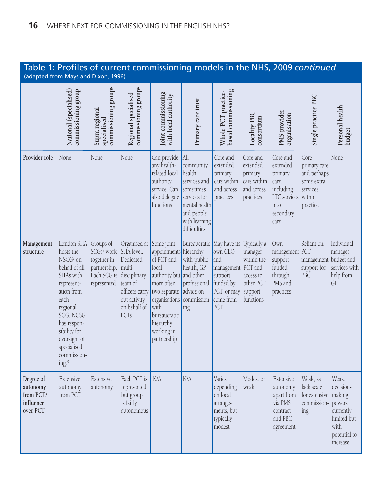#### Table 1: Profiles of current commissioning models in the NHS, 2009 *continued* (adapted from Mays and Dixon, 1996)

|                                                             | National (specialised)<br>commissioning group                                                                                                                                                                        | commissioning groups<br>Supra-regional<br>specialised                                            | commissioning groups<br>Regional specialised                                                                                           | Joint commissioning<br>with local authority                                                                                                                                         | Primary care trust                                                                                                                              | based commissioning<br>Whole PCT practice-                                              | Locality PBC<br>consortium                                                         | PMS provider<br>organisation                                                                       | Single practice PBC                                                                 | Personal health<br>budget                                                                              |
|-------------------------------------------------------------|----------------------------------------------------------------------------------------------------------------------------------------------------------------------------------------------------------------------|--------------------------------------------------------------------------------------------------|----------------------------------------------------------------------------------------------------------------------------------------|-------------------------------------------------------------------------------------------------------------------------------------------------------------------------------------|-------------------------------------------------------------------------------------------------------------------------------------------------|-----------------------------------------------------------------------------------------|------------------------------------------------------------------------------------|----------------------------------------------------------------------------------------------------|-------------------------------------------------------------------------------------|--------------------------------------------------------------------------------------------------------|
| Provider role                                               | None                                                                                                                                                                                                                 | None                                                                                             | None                                                                                                                                   | Can provide<br>any health-<br>related local<br>authority<br>service. Can<br>also delegate<br>functions                                                                              | All<br>community<br>health<br>services and<br>sometimes<br>services for<br>mental health<br>and people<br>with learning<br>difficulties         | Core and<br>extended<br>primary<br>care within<br>and across<br>practices               | Core and<br>extended<br>primary<br>care within<br>and across<br>practices          | Core and<br>extended<br>primary<br>care,<br>including<br>LTC services<br>into<br>secondary<br>care | Core<br>primary care<br>and perhaps<br>some extra<br>services<br>within<br>practice | None                                                                                                   |
| Management<br>structure                                     | London SHA<br>hosts the<br>NSCG7 on<br>behalf of all<br>SHAs with<br>represent-<br>ation from<br>each<br>regional<br>SCG. NCSG<br>has respon-<br>sibility for<br>oversight of<br>specialised<br>commission-<br>ing.9 | Groups of<br>SCGs <sup>8</sup> work<br>together in<br>partnership.<br>Each SCG is<br>represented | Organised at<br>SHA level.<br>Dedicated<br>multi-<br>disciplinary<br>team of<br>officers carry<br>out activity<br>on behalf of<br>PCTs | Some joint<br>appointments<br>of PCT and<br>local<br>authority but<br>more often<br>two separate<br>organisations<br>with<br>bureaucratic<br>hierarchy<br>working in<br>partnership | Bureaucratic May have its Typically a<br>hierarchy<br>with public<br>health, GP<br>and other<br>professional<br>advice on<br>commission-<br>ing | own CEO<br>and<br>management<br>support<br>funded by<br>PCT, or may<br>come from<br>PCT | manager<br>within the<br>PCT and<br>access to<br>other PCT<br>support<br>functions | Own<br>management<br>support<br>funded<br>through<br>PMS and<br>practices                          | Reliant on<br>PCT<br>management<br>support for<br>PBC.                              | Individual<br>manages<br>budget and<br>services with<br>help from<br>GP                                |
| Degree of<br>autonomy<br>from PCT/<br>influence<br>over PCT | Extensive<br>autonomy<br>from PCT                                                                                                                                                                                    | Extensive<br>autonomy                                                                            | Each PCT is<br>represented<br>but group<br>is fairly<br>autonomous                                                                     | N/A                                                                                                                                                                                 | N/A                                                                                                                                             | Varies<br>depending<br>on local<br>arrange-<br>ments, but<br>typically<br>modest        | Modest or<br>weak                                                                  | Extensive<br>autonomy<br>apart from<br>via PMS<br>contract<br>and PBC<br>agreement                 | Weak, as<br>lack scale<br>for extensive<br>commission<br>ing                        | Weak.<br>decision-<br>making<br>powers<br>currently<br>limited but<br>with<br>potential to<br>increase |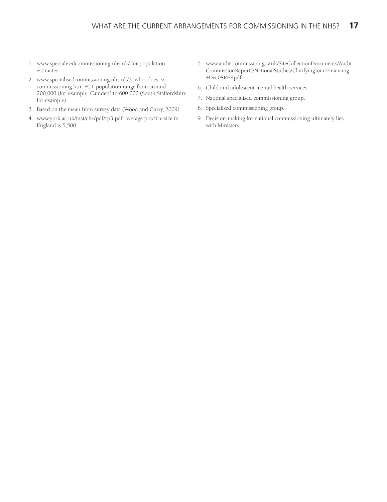- 1. www.specialisedcommissioning.nhs.uk/ for population estimates.
- 2. www.specialisedcommissioning.nhs.uk/3\_who\_does\_ss\_ commissioning.htm PCT population range from around 200,000 (for example, Camden) to 600,000 (South Staffordshire, for example).
- 3. Based on the mean from survey data (Wood and Curry, 2009).
- 4. www.york.ac.uk/inst/che/pdf/rp3.pdf: average practice size in England is 5,500.
- 5. www.audit-commission.gov.uk/SiteCollectionDocuments/Audit CommissionReports/NationalStudies/ClarifyingJointFinancing 4Dec08REP.pdf
- 6. Child and adolescent mental health services.
- 7. National specialised commissioning group.
- 8. Specialised commissioning group.
- 9. Decision-making for national commissioning ultimately lies with Ministers.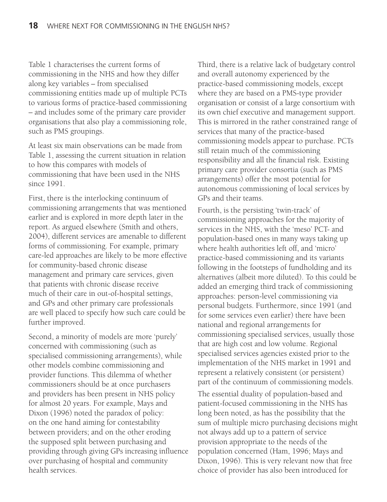Table 1 characterises the current forms of commissioning in the NHS and how they differ along key variables – from specialised commissioning entities made up of multiple PCTs to various forms of practice-based commissioning – and includes some of the primary care provider organisations that also play a commissioning role, such as PMS groupings.

At least six main observations can be made from Table 1, assessing the current situation in relation to how this compares with models of commissioning that have been used in the NHS since 1991.

First, there is the interlocking continuum of commissioning arrangements that was mentioned earlier and is explored in more depth later in the report. As argued elsewhere (Smith and others, 2004), different services are amenable to different forms of commissioning. For example, primary care-led approaches are likely to be more effective for community-based chronic disease management and primary care services, given that patients with chronic disease receive much of their care in out-of-hospital settings, and GPs and other primary care professionals are well placed to specify how such care could be further improved.

Second, a minority of models are more 'purely' concerned with commissioning (such as specialised commissioning arrangements), while other models combine commissioning and provider functions. This dilemma of whether commissioners should be at once purchasers and providers has been present in NHS policy for almost 20 years. For example, Mays and Dixon (1996) noted the paradox of policy: on the one hand aiming for contestability between providers; and on the other eroding the supposed split between purchasing and providing through giving GPs increasing influence over purchasing of hospital and community health services.

Third, there is a relative lack of budgetary control and overall autonomy experienced by the practice-based commissioning models, except where they are based on a PMS-type provider organisation or consist of a large consortium with its own chief executive and management support. This is mirrored in the rather constrained range of services that many of the practice-based commissioning models appear to purchase. PCTs still retain much of the commissioning responsibility and all the financial risk. Existing primary care provider consortia (such as PMS arrangements) offer the most potential for autonomous commissioning of local services by GPs and their teams.

Fourth, is the persisting 'twin-track' of commissioning approaches for the majority of services in the NHS, with the 'meso' PCT- and population-based ones in many ways taking up where health authorities left off, and 'micro' practice-based commissioning and its variants following in the footsteps of fundholding and its alternatives (albeit more diluted). To this could be added an emerging third track of commissioning approaches: person-level commissioning via personal budgets. Furthermore, since 1991 (and for some services even earlier) there have been national and regional arrangements for commissioning specialised services, usually those that are high cost and low volume. Regional specialised services agencies existed prior to the implementation of the NHS market in 1991 and represent a relatively consistent (or persistent) part of the continuum of commissioning models.

The essential duality of population-based and patient-focused commissioning in the NHS has long been noted, as has the possibility that the sum of multiple micro purchasing decisions might not always add up to a pattern of service provision appropriate to the needs of the population concerned (Ham, 1996; Mays and Dixon, 1996). This is very relevant now that free choice of provider has also been introduced for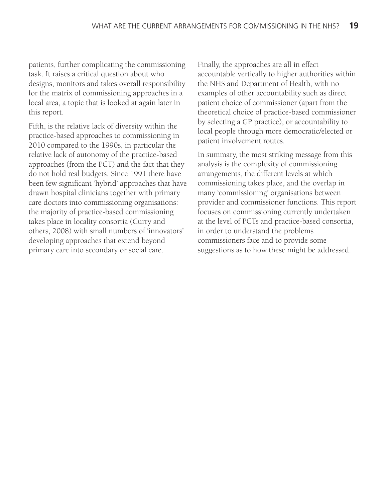patients, further complicating the commissioning task. It raises a critical question about who designs, monitors and takes overall responsibility for the matrix of commissioning approaches in a local area, a topic that is looked at again later in this report.

Fifth, is the relative lack of diversity within the practice-based approaches to commissioning in 2010 compared to the 1990s, in particular the relative lack of autonomy of the practice-based approaches (from the PCT) and the fact that they do not hold real budgets. Since 1991 there have been few significant 'hybrid' approaches that have drawn hospital clinicians together with primary care doctors into commissioning organisations: the majority of practice-based commissioning takes place in locality consortia (Curry and others, 2008) with small numbers of 'innovators' developing approaches that extend beyond primary care into secondary or social care.

Finally, the approaches are all in effect accountable vertically to higher authorities within the NHS and Department of Health, with no examples of other accountability such as direct patient choice of commissioner (apart from the theoretical choice of practice-based commissioner by selecting a GP practice), or accountability to local people through more democratic/elected or patient involvement routes.

In summary, the most striking message from this analysis is the complexity of commissioning arrangements, the different levels at which commissioning takes place, and the overlap in many 'commissioning' organisations between provider and commissioner functions. This report focuses on commissioning currently undertaken at the level of PCTs and practice-based consortia, in order to understand the problems commissioners face and to provide some suggestions as to how these might be addressed.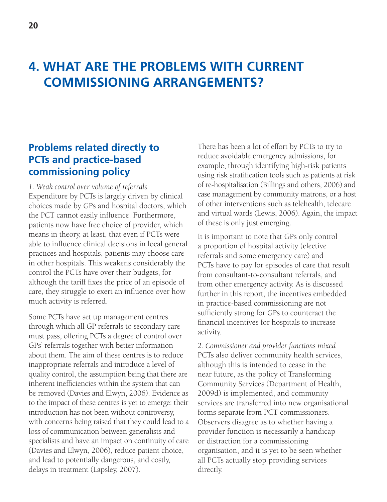# **4. WHAT ARE THE PROBLEMS WITH CURRENT COMMISSIONING ARRANGEMENTS?**

### **Problems related directly to PCTs and practice-based commissioning policy**

*1. Weak control over volume of referrals* Expenditure by PCTs is largely driven by clinical choices made by GPs and hospital doctors, which the PCT cannot easily influence. Furthermore, patients now have free choice of provider, which means in theory, at least, that even if PCTs were able to influence clinical decisions in local general practices and hospitals, patients may choose care in other hospitals. This weakens considerably the control the PCTs have over their budgets, for although the tariff fixes the price of an episode of care, they struggle to exert an influence over how much activity is referred.

Some PCTs have set up management centres through which all GP referrals to secondary care must pass, offering PCTs a degree of control over GPs' referrals together with better information about them. The aim of these centres is to reduce inappropriate referrals and introduce a level of quality control, the assumption being that there are inherent inefficiencies within the system that can be removed (Davies and Elwyn, 2006). Evidence as to the impact of these centres is yet to emerge: their introduction has not been without controversy, with concerns being raised that they could lead to a loss of communication between generalists and specialists and have an impact on continuity of care (Davies and Elwyn, 2006), reduce patient choice, and lead to potentially dangerous, and costly, delays in treatment (Lapsley, 2007).

There has been a lot of effort by PCTs to try to reduce avoidable emergency admissions, for example, through identifying high-risk patients using risk stratification tools such as patients at risk of re-hospitalisation (Billings and others, 2006) and case management by community matrons, or a host of other interventions such as telehealth, telecare and virtual wards (Lewis, 2006). Again, the impact of these is only just emerging.

It is important to note that GPs only control a proportion of hospital activity (elective referrals and some emergency care) and PCTs have to pay for episodes of care that result from consultant-to-consultant referrals, and from other emergency activity. As is discussed further in this report, the incentives embedded in practice-based commissioning are not sufficiently strong for GPs to counteract the financial incentives for hospitals to increase activity.

*2. Commissioner and provider functions mixed* PCTs also deliver community health services, although this is intended to cease in the near future, as the policy of Transforming Community Services (Department of Health, 2009d) is implemented, and community services are transferred into new organisational forms separate from PCT commissioners. Observers disagree as to whether having a provider function is necessarily a handicap or distraction for a commissioning organisation, and it is yet to be seen whether all PCTs actually stop providing services directly.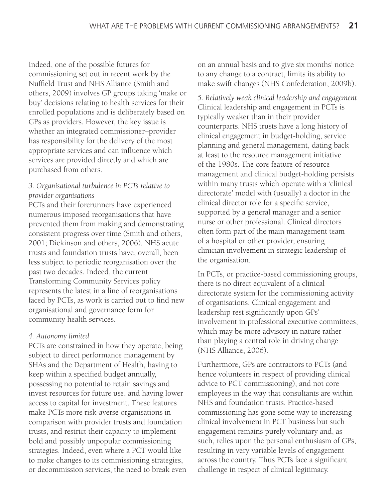Indeed, one of the possible futures for commissioning set out in recent work by the Nuffield Trust and NHS Alliance (Smith and others, 2009) involves GP groups taking 'make or buy' decisions relating to health services for their enrolled populations and is deliberately based on GPs as providers. However, the key issue is whether an integrated commissioner–provider has responsibility for the delivery of the most appropriate services and can influence which services are provided directly and which are purchased from others.

#### *3. Organisational turbulence in PCTs relative to provider organisations*

PCTs and their forerunners have experienced numerous imposed reorganisations that have prevented them from making and demonstrating consistent progress over time (Smith and others, 2001; Dickinson and others, 2006). NHS acute trusts and foundation trusts have, overall, been less subject to periodic reorganisation over the past two decades. Indeed, the current Transforming Community Services policy represents the latest in a line of reorganisations faced by PCTs, as work is carried out to find new organisational and governance form for community health services.

#### *4. Autonomy limited*

PCTs are constrained in how they operate, being subject to direct performance management by SHAs and the Department of Health, having to keep within a specified budget annually, possessing no potential to retain savings and invest resources for future use, and having lower access to capital for investment. These features make PCTs more risk-averse organisations in comparison with provider trusts and foundation trusts, and restrict their capacity to implement bold and possibly unpopular commissioning strategies. Indeed, even where a PCT would like to make changes to its commissioning strategies, or decommission services, the need to break even on an annual basis and to give six months' notice to any change to a contract, limits its ability to make swift changes (NHS Confederation, 2009b).

*5. Relatively weak clinical leadership and engagement* Clinical leadership and engagement in PCTs is typically weaker than in their provider counterparts. NHS trusts have a long history of clinical engagement in budget-holding, service planning and general management, dating back at least to the resource management initiative of the 1980s. The core feature of resource management and clinical budget-holding persists within many trusts which operate with a 'clinical directorate' model with (usually) a doctor in the clinical director role for a specific service, supported by a general manager and a senior nurse or other professional. Clinical directors often form part of the main management team of a hospital or other provider, ensuring clinician involvement in strategic leadership of the organisation.

In PCTs, or practice-based commissioning groups, there is no direct equivalent of a clinical directorate system for the commissioning activity of organisations. Clinical engagement and leadership rest significantly upon GPs' involvement in professional executive committees, which may be more advisory in nature rather than playing a central role in driving change (NHS Alliance, 2006).

Furthermore, GPs are contractors to PCTs (and hence volunteers in respect of providing clinical advice to PCT commissioning), and not core employees in the way that consultants are within NHS and foundation trusts. Practice-based commissioning has gone some way to increasing clinical involvement in PCT business but such engagement remains purely voluntary and, as such, relies upon the personal enthusiasm of GPs, resulting in very variable levels of engagement across the country. Thus PCTs face a significant challenge in respect of clinical legitimacy.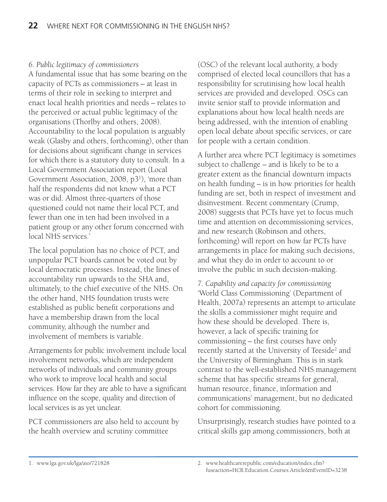#### *6. Public legitimacy of commissioners*

A fundamental issue that has some bearing on the capacity of PCTs as commissioners – at least in terms of their role in seeking to interpret and enact local health priorities and needs – relates to the perceived or actual public legitimacy of the organisations (Thorlby and others, 2008). Accountability to the local population is arguably weak (Glasby and others, forthcoming), other than for decisions about significant change in services for which there is a statutory duty to consult. In a Local Government Association report (Local Government Association, 2008, p31), 'more than half the respondents did not know what a PCT was or did. Almost three-quarters of those questioned could not name their local PCT, and fewer than one in ten had been involved in a patient group or any other forum concerned with local NHS services.'

The local population has no choice of PCT, and unpopular PCT boards cannot be voted out by local democratic processes. Instead, the lines of accountability run upwards to the SHA and, ultimately, to the chief executive of the NHS. On the other hand, NHS foundation trusts were established as public benefit corporations and have a membership drawn from the local community, although the number and involvement of members is variable.

Arrangements for public involvement include local involvement networks, which are independent networks of individuals and community groups who work to improve local health and social services. How far they are able to have a significant influence on the scope, quality and direction of local services is as yet unclear.

PCT commissioners are also held to account by the health overview and scrutiny committee

(OSC) of the relevant local authority, a body comprised of elected local councillors that has a responsibility for scrutinising how local health services are provided and developed. OSCs can invite senior staff to provide information and explanations about how local health needs are being addressed, with the intention of enabling open local debate about specific services, or care for people with a certain condition.

A further area where PCT legitimacy is sometimes subject to challenge – and is likely to be to a greater extent as the financial downturn impacts on health funding – is in how priorities for health funding are set, both in respect of investment and disinvestment. Recent commentary (Crump, 2008) suggests that PCTs have yet to focus much time and attention on decommissioning services, and new research (Robinson and others, forthcoming) will report on how far PCTs have arrangements in place for making such decisions, and what they do in order to account to or involve the public in such decision-making.

*7. Capability and capacity for commissioning* 'World Class Commissioning' (Department of Health, 2007a) represents an attempt to articulate the skills a commissioner might require and how these should be developed. There is, however, a lack of specific training for commissioning – the first courses have only recently started at the University of Teeside<sup>2</sup> and the University of Birmingham. This is in stark contrast to the well-established NHS management scheme that has specific streams for general, human resource, finance, information and communications' management, but no dedicated cohort for commissioning.

Unsurprisingly, research studies have pointed to a critical skills gap among commissioners, both at

<sup>1.</sup> www.lga.gov.uk/lga/aio/721828 2. www.healthcarerepublic.com/education/index.cfm? fuseaction=HCR.Education.Courses.Article&nEventID=3238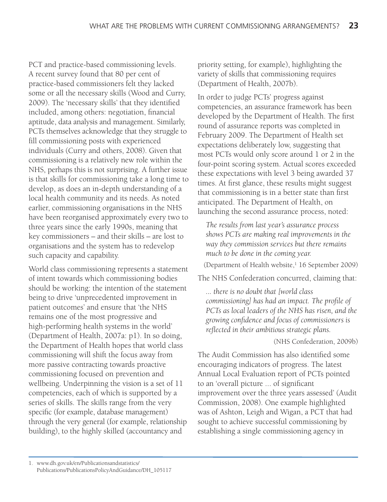PCT and practice-based commissioning levels. A recent survey found that 80 per cent of practice-based commissioners felt they lacked some or all the necessary skills (Wood and Curry, 2009). The 'necessary skills' that they identified included, among others: negotiation, financial aptitude, data analysis and management. Similarly, PCTs themselves acknowledge that they struggle to fill commissioning posts with experienced individuals (Curry and others, 2008). Given that commissioning is a relatively new role within the NHS, perhaps this is not surprising. A further issue is that skills for commissioning take a long time to develop, as does an in-depth understanding of a local health community and its needs. As noted earlier, commissioning organisations in the NHS have been reorganised approximately every two to three years since the early 1990s, meaning that key commissioners – and their skills – are lost to organisations and the system has to redevelop such capacity and capability.

World class commissioning represents a statement of intent towards which commissioning bodies should be working: the intention of the statement being to drive 'unprecedented improvement in patient outcomes' and ensure that 'the NHS remains one of the most progressive and high-performing health systems in the world' (Department of Health, 2007a: p1). In so doing, the Department of Health hopes that world class commissioning will shift the focus away from more passive contracting towards proactive commissioning focused on prevention and wellbeing. Underpinning the vision is a set of 11 competencies, each of which is supported by a series of skills. The skills range from the very specific (for example, database management) through the very general (for example, relationship building), to the highly skilled (accountancy and

priority setting, for example), highlighting the variety of skills that commissioning requires (Department of Health, 2007b).

In order to judge PCTs' progress against competencies, an assurance framework has been developed by the Department of Health. The first round of assurance reports was completed in February 2009. The Department of Health set expectations deliberately low, suggesting that most PCTs would only score around 1 or 2 in the four-point scoring system. Actual scores exceeded these expectations with level 3 being awarded 37 times. At first glance, these results might suggest that commissioning is in a better state than first anticipated. The Department of Health, on launching the second assurance process, noted:

*The results from last year's assurance process shows PCTs are making real improvements in the way they commission services but there remains much to be done in the coming year.*

(Department of Health website,<sup>1</sup> 16 September 2009)

The NHS Confederation concurred, claiming that:

*... there is no doubt that [world class commissioning] has had an impact. The profile of PCTs as local leaders of the NHS has risen, and the growing confidence and focus of commissioners is reflected in their ambitious strategic plans.* 

(NHS Confederation, 2009b)

The Audit Commission has also identified some encouraging indicators of progress. The latest Annual Local Evaluation report of PCTs pointed to an 'overall picture ... of significant improvement over the three years assessed' (Audit Commission, 2008). One example highlighted was of Ashton, Leigh and Wigan, a PCT that had sought to achieve successful commissioning by establishing a single commissioning agency in

<sup>1.</sup> www.dh.gov.uk/en/Publicationsandstatistics/ Publications/PublicationsPolicyAndGuidance/DH\_105117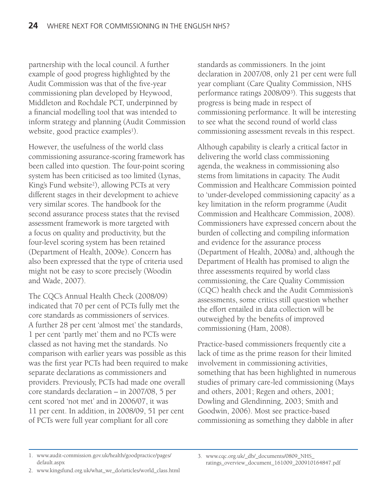partnership with the local council. A further example of good progress highlighted by the Audit Commission was that of the five-year commissioning plan developed by Heywood, Middleton and Rochdale PCT, underpinned by a financial modelling tool that was intended to inform strategy and planning (Audit Commission website, good practice examples<sup>1</sup>).

However, the usefulness of the world class commissioning assurance-scoring framework has been called into question. The four-point scoring system has been criticised as too limited (Lynas, King's Fund website<sup>2</sup>), allowing PCTs at very different stages in their development to achieve very similar scores. The handbook for the second assurance process states that the revised assessment framework is more targeted with a focus on quality and productivity, but the four-level scoring system has been retained (Department of Health, 2009e). Concern has also been expressed that the type of criteria used might not be easy to score precisely (Woodin and Wade, 2007).

The CQC's Annual Health Check (2008/09) indicated that 70 per cent of PCTs fully met the core standards as commissioners of services. A further 28 per cent 'almost met' the standards, 1 per cent 'partly met' them and no PCTs were classed as not having met the standards. No comparison with earlier years was possible as this was the first year PCTs had been required to make separate declarations as commissioners and providers. Previously, PCTs had made one overall core standards declaration – in 2007/08, 5 per cent scored 'not met' and in 2006/07, it was 11 per cent. In addition, in 2008/09, 51 per cent of PCTs were full year compliant for all core

standards as commissioners. In the joint declaration in 2007/08, only 21 per cent were full year compliant (Care Quality Commission, NHS performance ratings 2008/093). This suggests that progress is being made in respect of commissioning performance. It will be interesting to see what the second round of world class commissioning assessment reveals in this respect.

Although capability is clearly a critical factor in delivering the world class commissioning agenda, the weakness in commissioning also stems from limitations in capacity. The Audit Commission and Healthcare Commission pointed to 'under-developed commissioning capacity' as a key limitation in the reform programme (Audit Commission and Healthcare Commission, 2008). Commissioners have expressed concern about the burden of collecting and compiling information and evidence for the assurance process (Department of Health, 2008a) and, although the Department of Health has promised to align the three assessments required by world class commissioning, the Care Quality Commission (CQC) health check and the Audit Commission's assessments, some critics still question whether the effort entailed in data collection will be outweighed by the benefits of improved commissioning (Ham, 2008).

Practice-based commissioners frequently cite a lack of time as the prime reason for their limited involvement in commissioning activities, something that has been highlighted in numerous studies of primary care-led commissioning (Mays and others, 2001; Regen and others, 2001; Dowling and Glendinning, 2003; Smith and Goodwin, 2006). Most see practice-based commissioning as something they dabble in after

2. www.kingsfund.org.uk/what\_we\_do/articles/world\_class.html

<sup>1.</sup> www.audit-commission.gov.uk/health/goodpractice/pages/ default.aspx

<sup>3.</sup> www.cqc.org.uk/\_db/\_documents/0809\_NHS\_ ratings\_overview\_document\_161009\_200910164847.pdf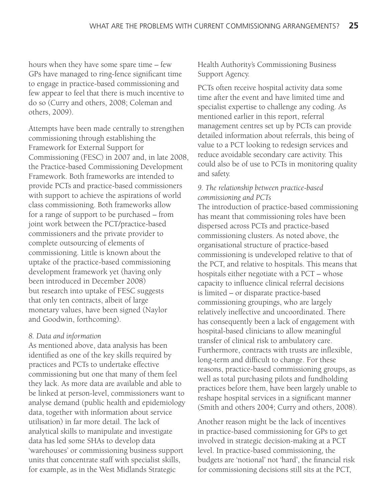hours when they have some spare time – few GPs have managed to ring-fence significant time to engage in practice-based commissioning and few appear to feel that there is much incentive to do so (Curry and others, 2008; Coleman and others, 2009).

Attempts have been made centrally to strengthen commissioning through establishing the Framework for External Support for Commissioning (FESC) in 2007 and, in late 2008, the Practice-based Commissioning Development Framework. Both frameworks are intended to provide PCTs and practice-based commissioners with support to achieve the aspirations of world class commissioning. Both frameworks allow for a range of support to be purchased – from joint work between the PCT/practice-based commissioners and the private provider to complete outsourcing of elements of commissioning. Little is known about the uptake of the practice-based commissioning development framework yet (having only been introduced in December 2008) but research into uptake of FESC suggests that only ten contracts, albeit of large monetary values, have been signed (Naylor and Goodwin, forthcoming).

#### *8. Data and information*

As mentioned above, data analysis has been identified as one of the key skills required by practices and PCTs to undertake effective commissioning but one that many of them feel they lack. As more data are available and able to be linked at person-level, commissioners want to analyse demand (public health and epidemiology data, together with information about service utilisation) in far more detail. The lack of analytical skills to manipulate and investigate data has led some SHAs to develop data 'warehouses' or commissioning business support units that concentrate staff with specialist skills, for example, as in the West Midlands Strategic

Health Authority's Commissioning Business Support Agency.

PCTs often receive hospital activity data some time after the event and have limited time and specialist expertise to challenge any coding. As mentioned earlier in this report, referral management centres set up by PCTs can provide detailed information about referrals, this being of value to a PCT looking to redesign services and reduce avoidable secondary care activity. This could also be of use to PCTs in monitoring quality and safety.

#### *9. The relationship between practice-based commissioning and PCTs*

The introduction of practice-based commissioning has meant that commissioning roles have been dispersed across PCTs and practice-based commissioning clusters. As noted above, the organisational structure of practice-based commissioning is undeveloped relative to that of the PCT, and relative to hospitals. This means that hospitals either negotiate with a PCT – whose capacity to influence clinical referral decisions is limited – or disparate practice-based commissioning groupings, who are largely relatively ineffective and uncoordinated. There has consequently been a lack of engagement with hospital-based clinicians to allow meaningful transfer of clinical risk to ambulatory care. Furthermore, contracts with trusts are inflexible, long-term and difficult to change. For these reasons, practice-based commissioning groups, as well as total purchasing pilots and fundholding practices before them, have been largely unable to reshape hospital services in a significant manner (Smith and others 2004; Curry and others, 2008).

Another reason might be the lack of incentives in practice-based commissioning for GPs to get involved in strategic decision-making at a PCT level. In practice-based commissioning, the budgets are 'notional' not 'hard', the financial risk for commissioning decisions still sits at the PCT,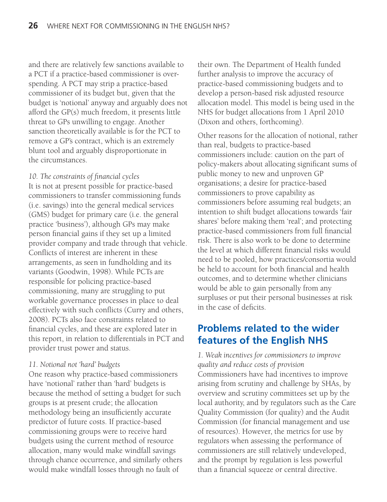and there are relatively few sanctions available to a PCT if a practice-based commissioner is overspending. A PCT may strip a practice-based commissioner of its budget but, given that the budget is 'notional' anyway and arguably does not afford the GP(s) much freedom, it presents little threat to GPs unwilling to engage. Another sanction theoretically available is for the PCT to remove a GP's contract, which is an extremely blunt tool and arguably disproportionate in the circumstances.

#### *10. The constraints of financial cycles*

It is not at present possible for practice-based commissioners to transfer commissioning funds (i.e. savings) into the general medical services (GMS) budget for primary care (i.e. the general practice 'business'), although GPs may make person financial gains if they set up a limited provider company and trade through that vehicle. Conflicts of interest are inherent in these arrangements, as seen in fundholding and its variants (Goodwin, 1998). While PCTs are responsible for policing practice-based commissioning, many are struggling to put workable governance processes in place to deal effectively with such conflicts (Curry and others, 2008). PCTs also face constraints related to financial cycles, and these are explored later in this report, in relation to differentials in PCT and provider trust power and status.

#### *11. Notional not 'hard' budgets*

One reason why practice-based commissioners have 'notional' rather than 'hard' budgets is because the method of setting a budget for such groups is at present crude; the allocation methodology being an insufficiently accurate predictor of future costs. If practice-based commissioning groups were to receive hard budgets using the current method of resource allocation, many would make windfall savings through chance occurrence, and similarly others would make windfall losses through no fault of

their own. The Department of Health funded further analysis to improve the accuracy of practice-based commissioning budgets and to develop a person-based risk adjusted resource allocation model. This model is being used in the NHS for budget allocations from 1 April 2010 (Dixon and others, forthcoming).

Other reasons for the allocation of notional, rather than real, budgets to practice-based commissioners include: caution on the part of policy-makers about allocating significant sums of public money to new and unproven GP organisations; a desire for practice-based commissioners to prove capability as commissioners before assuming real budgets; an intention to shift budget allocations towards 'fair shares' before making them 'real'; and protecting practice-based commissioners from full financial risk. There is also work to be done to determine the level at which different financial risks would need to be pooled, how practices/consortia would be held to account for both financial and health outcomes, and to determine whether clinicians would be able to gain personally from any surpluses or put their personal businesses at risk in the case of deficits.

### **Problems related to the wider features of the English NHS**

*1. Weak incentives for commissioners to improve quality and reduce costs of provision* Commissioners have had incentives to improve arising from scrutiny and challenge by SHAs, by overview and scrutiny committees set up by the local authority, and by regulators such as the Care Quality Commission (for quality) and the Audit Commission (for financial management and use of resources). However, the metrics for use by regulators when assessing the performance of commissioners are still relatively undeveloped, and the prompt by regulation is less powerful than a financial squeeze or central directive.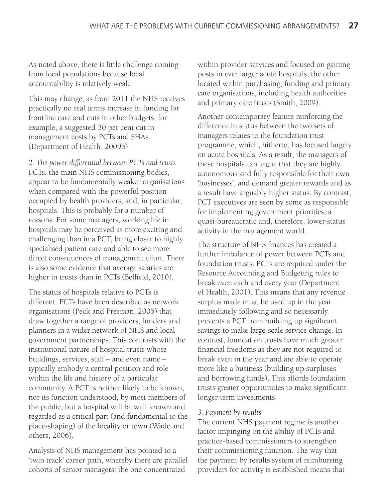As noted above, there is little challenge coming from local populations because local accountability is relatively weak.

This may change, as from 2011 the NHS receives practically no real terms increase in funding for frontline care and cuts in other budgets, for example, a suggested 30 per cent cut in management costs by PCTs and SHAs (Department of Health, 2009b).

*2. The power differential between PCTs and trusts* PCTs, the main NHS commissioning bodies, appear to be fundamentally weaker organisations when compared with the powerful position occupied by health providers, and, in particular, hospitals. This is probably for a number of reasons. For some managers, working life in hospitals may be perceived as more exciting and challenging than in a PCT, being closer to highly specialised patient care and able to see more direct consequences of management effort. There is also some evidence that average salaries are higher in trusts than in PCTs (Belfield, 2010).

The status of hospitals relative to PCTs is different. PCTs have been described as network organisations (Peck and Freeman, 2005) that draw together a range of providers, funders and planners in a wider network of NHS and local government partnerships. This contrasts with the institutional nature of hospital trusts whose buildings, services, staff – and even name – typically embody a central position and role within the life and history of a particular community. A PCT is neither likely to be known, nor its function understood, by most members of the public, but a hospital will be well known and regarded as a critical part (and fundamental to the place-shaping) of the locality or town (Wade and others, 2006).

Analysis of NHS management has pointed to a 'twin track' career path, whereby there are parallel cohorts of senior managers: the one concentrated

within provider services and focused on gaining posts in ever larger acute hospitals; the other located within purchasing, funding and primary care organisations, including health authorities and primary care trusts (Smith, 2009).

Another contemporary feature reinforcing the difference in status between the two sets of managers relates to the foundation trust programme, which, hitherto, has focused largely on acute hospitals. As a result, the managers of these hospitals can argue that they are highly autonomous and fully responsible for their own 'businesses', and demand greater rewards and as a result have arguably higher status. By contrast, PCT executives are seen by some as responsible for implementing government priorities, a quasi-bureaucratic and, therefore, lower-status activity in the management world.

The structure of NHS finances has created a further imbalance of power between PCTs and foundation trusts. PCTs are required under the Resource Accounting and Budgeting rules to break even each and every year (Department of Health, 2001). This means that any revenue surplus made must be used up in the year immediately following and so necessarily prevents a PCT from building up significant savings to make large-scale service change. In contrast, foundation trusts have much greater financial freedoms as they are not required to break even in the year and are able to operate more like a business (building up surpluses and borrowing funds). This affords foundation trusts greater opportunities to make significant longer-term investments.

#### *3. Payment by results*

The current NHS payment regime is another factor impinging on the ability of PCTs and practice-based commissioners to strengthen their commissioning function. The way that the payment by results system of reimbursing providers for activity is established means that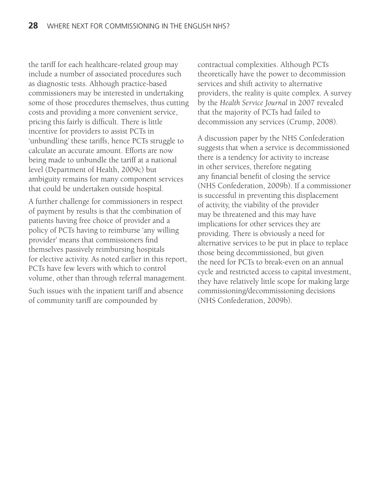the tariff for each healthcare-related group may include a number of associated procedures such as diagnostic tests. Although practice-based commissioners may be interested in undertaking some of those procedures themselves, thus cutting costs and providing a more convenient service, pricing this fairly is difficult. There is little incentive for providers to assist PCTs in 'unbundling' these tariffs, hence PCTs struggle to calculate an accurate amount. Efforts are now being made to unbundle the tariff at a national level (Department of Health, 2009c) but ambiguity remains for many component services that could be undertaken outside hospital.

A further challenge for commissioners in respect of payment by results is that the combination of patients having free choice of provider and a policy of PCTs having to reimburse 'any willing provider' means that commissioners find themselves passively reimbursing hospitals for elective activity. As noted earlier in this report, PCTs have few levers with which to control volume, other than through referral management.

Such issues with the inpatient tariff and absence of community tariff are compounded by

contractual complexities. Although PCTs theoretically have the power to decommission services and shift activity to alternative providers, the reality is quite complex. A survey by the *Health Service Journal* in 2007 revealed that the majority of PCTs had failed to decommission any services (Crump, 2008).

A discussion paper by the NHS Confederation suggests that when a service is decommissioned there is a tendency for activity to increase in other services, therefore negating any financial benefit of closing the service (NHS Confederation, 2009b). If a commissioner is successful in preventing this displacement of activity, the viability of the provider may be threatened and this may have implications for other services they are providing. There is obviously a need for alternative services to be put in place to replace those being decommissioned, but given the need for PCTs to break-even on an annual cycle and restricted access to capital investment, they have relatively little scope for making large commissioning/decommissioning decisions (NHS Confederation, 2009b).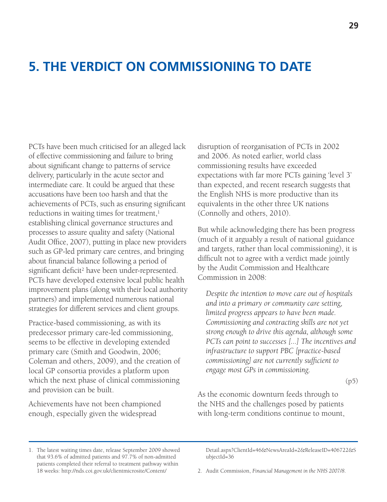# **5. THE VERDICT ON COMMISSIONING TO DATE**

PCTs have been much criticised for an alleged lack of effective commissioning and failure to bring about significant change to patterns of service delivery, particularly in the acute sector and intermediate care. It could be argued that these accusations have been too harsh and that the achievements of PCTs, such as ensuring significant reductions in waiting times for treatment,<sup>1</sup> establishing clinical governance structures and processes to assure quality and safety (National Audit Office, 2007), putting in place new providers such as GP-led primary care centres, and bringing about financial balance following a period of significant deficit<sup>2</sup> have been under-represented. PCTs have developed extensive local public health improvement plans (along with their local authority partners) and implemented numerous national strategies for different services and client groups.

Practice-based commissioning, as with its predecessor primary care-led commissioning, seems to be effective in developing extended primary care (Smith and Goodwin, 2006; Coleman and others, 2009), and the creation of local GP consortia provides a platform upon which the next phase of clinical commissioning and provision can be built.

Achievements have not been championed enough, especially given the widespread

disruption of reorganisation of PCTs in 2002 and 2006. As noted earlier, world class commissioning results have exceeded expectations with far more PCTs gaining 'level 3' than expected, and recent research suggests that the English NHS is more productive than its equivalents in the other three UK nations (Connolly and others, 2010).

But while acknowledging there has been progress (much of it arguably a result of national guidance and targets, rather than local commissioning), it is difficult not to agree with a verdict made jointly by the Audit Commission and Healthcare Commission in 2008:

*Despite the intention to move care out of hospitals and into a primary or community care setting, limited progress appears to have been made. Commissioning and contracting skills are not yet strong enough to drive this agenda, although some PCTs can point to successes [...] The incentives and infrastructure to support PBC [practice-based commissioning] are not currently sufficient to engage most GPs in commissioning.*

(p5)

As the economic downturn feeds through to the NHS and the challenges posed by patients with long-term conditions continue to mount,

Detail.aspx?ClientId=46&NewsAreaId=2&ReleaseID=406722&S ubjectId=36

2. Audit Commission, *Financial Management in the NHS 2007/8*.

<sup>1.</sup> The latest waiting times date, release September 2009 showed that 93.6% of admitted patients and 97.7% of non-admitted patients completed their referral to treatment pathway within 18 weeks: http://nds.coi.gov.uk/clientmicrosite/Content/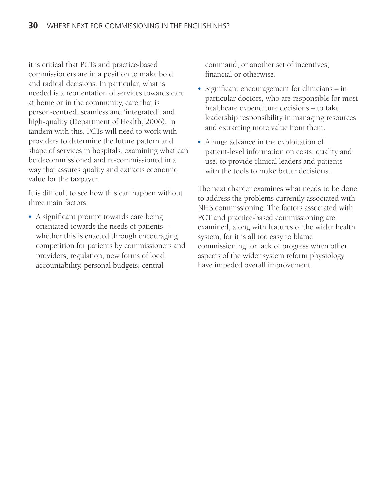it is critical that PCTs and practice-based commissioners are in a position to make bold and radical decisions. In particular, what is needed is a reorientation of services towards care at home or in the community, care that is person-centred, seamless and 'integrated', and high-quality (Department of Health, 2006). In tandem with this, PCTs will need to work with providers to determine the future pattern and shape of services in hospitals, examining what can be decommissioned and re-commissioned in a way that assures quality and extracts economic value for the taxpayer.

It is difficult to see how this can happen without three main factors:

- A significant prompt towards care being orientated towards the needs of patients – whether this is enacted through encouraging competition for patients by commissioners and providers, regulation, new forms of local accountability, personal budgets, central

command, or another set of incentives, financial or otherwise.

- Significant encouragement for clinicians in particular doctors, who are responsible for most healthcare expenditure decisions – to take leadership responsibility in managing resources and extracting more value from them.
- A huge advance in the exploitation of patient-level information on costs, quality and use, to provide clinical leaders and patients with the tools to make better decisions.

The next chapter examines what needs to be done to address the problems currently associated with NHS commissioning. The factors associated with PCT and practice-based commissioning are examined, along with features of the wider health system, for it is all too easy to blame commissioning for lack of progress when other aspects of the wider system reform physiology have impeded overall improvement.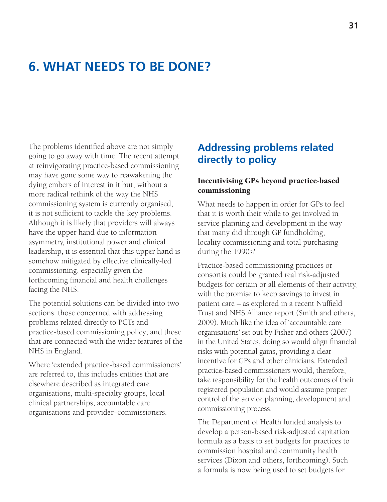# **6. WHAT NEEDS TO BE DONE?**

The problems identified above are not simply going to go away with time. The recent attempt at reinvigorating practice-based commissioning may have gone some way to reawakening the dying embers of interest in it but, without a more radical rethink of the way the NHS commissioning system is currently organised, it is not sufficient to tackle the key problems. Although it is likely that providers will always have the upper hand due to information asymmetry, institutional power and clinical leadership, it is essential that this upper hand is somehow mitigated by effective clinically-led commissioning, especially given the forthcoming financial and health challenges facing the NHS.

The potential solutions can be divided into two sections: those concerned with addressing problems related directly to PCTs and practice-based commissioning policy; and those that are connected with the wider features of the NHS in England.

Where 'extended practice-based commissioners' are referred to, this includes entities that are elsewhere described as integrated care organisations, multi-specialty groups, local clinical partnerships, accountable care organisations and provider–commissioners.

### **Addressing problems related directly to policy**

#### **Incentivising GPs beyond practice-based commissioning**

What needs to happen in order for GPs to feel that it is worth their while to get involved in service planning and development in the way that many did through GP fundholding, locality commissioning and total purchasing during the 1990s?

Practice-based commissioning practices or consortia could be granted real risk-adjusted budgets for certain or all elements of their activity, with the promise to keep savings to invest in patient care – as explored in a recent Nuffield Trust and NHS Alliance report (Smith and others, 2009). Much like the idea of 'accountable care organisations' set out by Fisher and others (2007) in the United States, doing so would align financial risks with potential gains, providing a clear incentive for GPs and other clinicians. Extended practice-based commissioners would, therefore, take responsibility for the health outcomes of their registered population and would assume proper control of the service planning, development and commissioning process.

The Department of Health funded analysis to develop a person-based risk-adjusted capitation formula as a basis to set budgets for practices to commission hospital and community health services (Dixon and others, forthcoming). Such a formula is now being used to set budgets for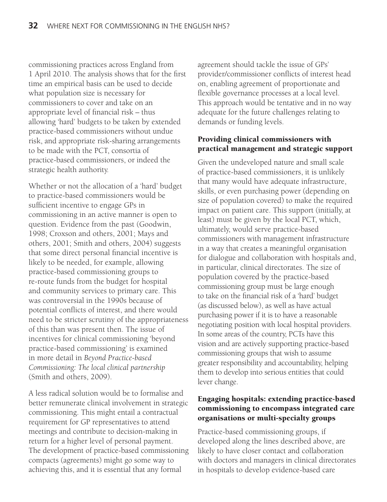commissioning practices across England from 1 April 2010. The analysis shows that for the first time an empirical basis can be used to decide what population size is necessary for commissioners to cover and take on an appropriate level of financial risk – thus allowing 'hard' budgets to be taken by extended practice-based commissioners without undue risk, and appropriate risk-sharing arrangements to be made with the PCT, consortia of practice-based commissioners, or indeed the strategic health authority.

Whether or not the allocation of a 'hard' budget to practice-based commissioners would be sufficient incentive to engage GPs in commissioning in an active manner is open to question. Evidence from the past (Goodwin, 1998; Croxson and others, 2001; Mays and others, 2001; Smith and others, 2004) suggests that some direct personal financial incentive is likely to be needed, for example, allowing practice-based commissioning groups to re-route funds from the budget for hospital and community services to primary care. This was controversial in the 1990s because of potential conflicts of interest, and there would need to be stricter scrutiny of the appropriateness of this than was present then. The issue of incentives for clinical commissioning 'beyond practice-based commissioning' is examined in more detail in *Beyond Practice-based Commissioning: The local clinical partnership* (Smith and others, 2009).

A less radical solution would be to formalise and better remunerate clinical involvement in strategic commissioning. This might entail a contractual requirement for GP representatives to attend meetings and contribute to decision-making in return for a higher level of personal payment. The development of practice-based commissioning compacts (agreements) might go some way to achieving this, and it is essential that any formal

agreement should tackle the issue of GPs' provider/commissioner conflicts of interest head on, enabling agreement of proportionate and flexible governance processes at a local level. This approach would be tentative and in no way adequate for the future challenges relating to demands or funding levels.

#### **Providing clinical commissioners with practical management and strategic support**

Given the undeveloped nature and small scale of practice-based commissioners, it is unlikely that many would have adequate infrastructure, skills, or even purchasing power (depending on size of population covered) to make the required impact on patient care. This support (initially, at least) must be given by the local PCT, which, ultimately, would serve practice-based commissioners with management infrastructure in a way that creates a meaningful organisation for dialogue and collaboration with hospitals and, in particular, clinical directorates. The size of population covered by the practice-based commissioning group must be large enough to take on the financial risk of a 'hard' budget (as discussed below), as well as have actual purchasing power if it is to have a reasonable negotiating position with local hospital providers. In some areas of the country, PCTs have this vision and are actively supporting practice-based commissioning groups that wish to assume greater responsibility and accountability, helping them to develop into serious entities that could lever change.

#### **Engaging hospitals: extending practice-based commissioning to encompass integrated care organisations or multi-specialty groups**

Practice-based commissioning groups, if developed along the lines described above, are likely to have closer contact and collaboration with doctors and managers in clinical directorates in hospitals to develop evidence-based care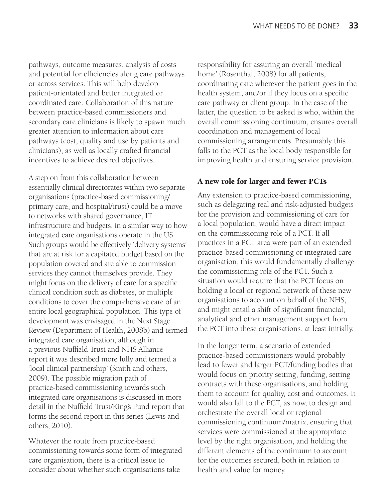pathways, outcome measures, analysis of costs and potential for efficiencies along care pathways or across services. This will help develop patient-orientated and better integrated or coordinated care. Collaboration of this nature between practice-based commissioners and secondary care clinicians is likely to spawn much greater attention to information about care pathways (cost, quality and use by patients and clinicians), as well as locally crafted financial incentives to achieve desired objectives.

A step on from this collaboration between essentially clinical directorates within two separate organisations (practice-based commissioning/ primary care, and hospital/trust) could be a move to networks with shared governance, IT infrastructure and budgets, in a similar way to how integrated care organisations operate in the US. Such groups would be effectively 'delivery systems' that are at risk for a capitated budget based on the population covered and are able to commission services they cannot themselves provide. They might focus on the delivery of care for a specific clinical condition such as diabetes, or multiple conditions to cover the comprehensive care of an entire local geographical population. This type of development was envisaged in the Next Stage Review (Department of Health, 2008b) and termed integrated care organisation, although in a previous Nuffield Trust and NHS Alliance report it was described more fully and termed a 'local clinical partnership' (Smith and others, 2009). The possible migration path of practice-based commissioning towards such integrated care organisations is discussed in more detail in the Nuffield Trust/King's Fund report that forms the second report in this series (Lewis and others, 2010).

Whatever the route from practice-based commissioning towards some form of integrated care organisation, there is a critical issue to consider about whether such organisations take

responsibility for assuring an overall 'medical home' (Rosenthal, 2008) for all patients, coordinating care wherever the patient goes in the health system, and/or if they focus on a specific care pathway or client group. In the case of the latter, the question to be asked is who, within the overall commissioning continuum, ensures overall coordination and management of local commissioning arrangements. Presumably this falls to the PCT as the local body responsible for improving health and ensuring service provision.

#### **A new role for larger and fewer PCTs**

Any extension to practice-based commissioning, such as delegating real and risk-adjusted budgets for the provision and commissioning of care for a local population, would have a direct impact on the commissioning role of a PCT. If all practices in a PCT area were part of an extended practice-based commissioning or integrated care organisation, this would fundamentally challenge the commissioning role of the PCT. Such a situation would require that the PCT focus on holding a local or regional network of these new organisations to account on behalf of the NHS, and might entail a shift of significant financial, analytical and other management support from the PCT into these organisations, at least initially.

In the longer term, a scenario of extended practice-based commissioners would probably lead to fewer and larger PCT/funding bodies that would focus on priority setting, funding, setting contracts with these organisations, and holding them to account for quality, cost and outcomes. It would also fall to the PCT, as now, to design and orchestrate the overall local or regional commissioning continuum/matrix, ensuring that services were commissioned at the appropriate level by the right organisation, and holding the different elements of the continuum to account for the outcomes secured, both in relation to health and value for money.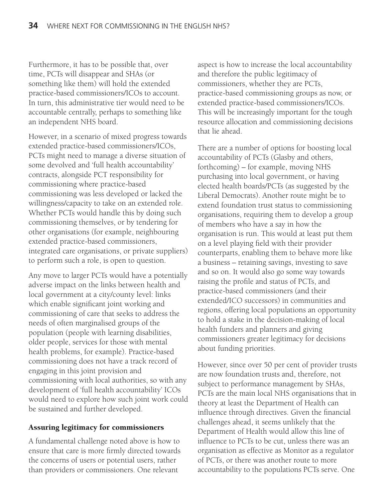Furthermore, it has to be possible that, over time, PCTs will disappear and SHAs (or something like them) will hold the extended practice-based commissioners/ICOs to account. In turn, this administrative tier would need to be accountable centrally, perhaps to something like an independent NHS board.

However, in a scenario of mixed progress towards extended practice-based commissioners/ICOs, PCTs might need to manage a diverse situation of some devolved and 'full health accountability' contracts, alongside PCT responsibility for commissioning where practice-based commissioning was less developed or lacked the willingness/capacity to take on an extended role. Whether PCTs would handle this by doing such commissioning themselves, or by tendering for other organisations (for example, neighbouring extended practice-based commissioners, integrated care organisations, or private suppliers) to perform such a role, is open to question.

Any move to larger PCTs would have a potentially adverse impact on the links between health and local government at a city/county level: links which enable significant joint working and commissioning of care that seeks to address the needs of often marginalised groups of the population (people with learning disabilities, older people, services for those with mental health problems, for example). Practice-based commissioning does not have a track record of engaging in this joint provision and commissioning with local authorities, so with any development of 'full health accountability' ICOs would need to explore how such joint work could be sustained and further developed.

#### **Assuring legitimacy for commissioners**

A fundamental challenge noted above is how to ensure that care is more firmly directed towards the concerns of users or potential users, rather than providers or commissioners. One relevant

aspect is how to increase the local accountability and therefore the public legitimacy of commissioners, whether they are PCTs, practice-based commissioning groups as now, or extended practice-based commissioners/ICOs. This will be increasingly important for the tough resource allocation and commissioning decisions that lie ahead.

There are a number of options for boosting local accountability of PCTs (Glasby and others, forthcoming) – for example, moving NHS purchasing into local government, or having elected health boards/PCTs (as suggested by the Liberal Democrats). Another route might be to extend foundation trust status to commissioning organisations, requiring them to develop a group of members who have a say in how the organisation is run. This would at least put them on a level playing field with their provider counterparts, enabling them to behave more like a business – retaining savings, investing to save and so on. It would also go some way towards raising the profile and status of PCTs, and practice-based commissioners (and their extended/ICO successors) in communities and regions, offering local populations an opportunity to hold a stake in the decision-making of local health funders and planners and giving commissioners greater legitimacy for decisions about funding priorities.

However, since over 50 per cent of provider trusts are now foundation trusts and, therefore, not subject to performance management by SHAs, PCTs are the main local NHS organisations that in theory at least the Department of Health can influence through directives. Given the financial challenges ahead, it seems unlikely that the Department of Health would allow this line of influence to PCTs to be cut, unless there was an organisation as effective as Monitor as a regulator of PCTs, or there was another route to more accountability to the populations PCTs serve. One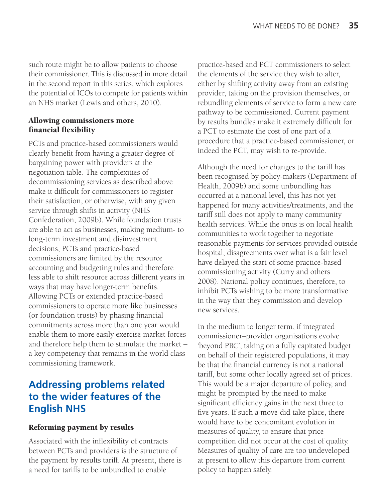such route might be to allow patients to choose their commissioner. This is discussed in more detail in the second report in this series, which explores the potential of ICOs to compete for patients within an NHS market (Lewis and others, 2010).

#### **Allowing commissioners more financial flexibility**

PCTs and practice-based commissioners would clearly benefit from having a greater degree of bargaining power with providers at the negotiation table. The complexities of decommissioning services as described above make it difficult for commissioners to register their satisfaction, or otherwise, with any given service through shifts in activity (NHS Confederation, 2009b). While foundation trusts are able to act as businesses, making medium- to long-term investment and disinvestment decisions, PCTs and practice-based commissioners are limited by the resource accounting and budgeting rules and therefore less able to shift resource across different years in ways that may have longer-term benefits. Allowing PCTs or extended practice-based commissioners to operate more like businesses (or foundation trusts) by phasing financial commitments across more than one year would enable them to more easily exercise market forces and therefore help them to stimulate the market – a key competency that remains in the world class commissioning framework.

## **Addressing problems related to the wider features of the English NHS**

#### **Reforming payment by results**

Associated with the inflexibility of contracts between PCTs and providers is the structure of the payment by results tariff. At present, there is a need for tariffs to be unbundled to enable

practice-based and PCT commissioners to select the elements of the service they wish to alter, either by shifting activity away from an existing provider, taking on the provision themselves, or rebundling elements of service to form a new care pathway to be commissioned. Current payment by results bundles make it extremely difficult for a PCT to estimate the cost of one part of a procedure that a practice-based commissioner, or indeed the PCT, may wish to re-provide.

Although the need for changes to the tariff has been recognised by policy-makers (Department of Health, 2009b) and some unbundling has occurred at a national level, this has not yet happened for many activities/treatments, and the tariff still does not apply to many community health services. While the onus is on local health communities to work together to negotiate reasonable payments for services provided outside hospital, disagreements over what is a fair level have delayed the start of some practice-based commissioning activity (Curry and others 2008). National policy continues, therefore, to inhibit PCTs wishing to be more transformative in the way that they commission and develop new services.

In the medium to longer term, if integrated commissioner–provider organisations evolve 'beyond PBC', taking on a fully capitated budget on behalf of their registered populations, it may be that the financial currency is not a national tariff, but some other locally agreed set of prices. This would be a major departure of policy, and might be prompted by the need to make significant efficiency gains in the next three to five years. If such a move did take place, there would have to be concomitant evolution in measures of quality, to ensure that price competition did not occur at the cost of quality. Measures of quality of care are too undeveloped at present to allow this departure from current policy to happen safely.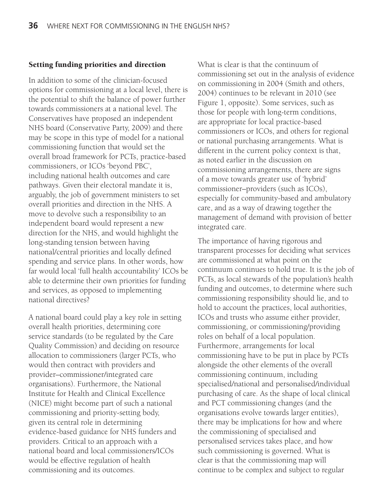#### **Setting funding priorities and direction**

In addition to some of the clinician-focused options for commissioning at a local level, there is the potential to shift the balance of power further towards commissioners at a national level. The Conservatives have proposed an independent NHS board (Conservative Party, 2009) and there may be scope in this type of model for a national commissioning function that would set the overall broad framework for PCTs, practice-based commissioners, or ICOs 'beyond PBC', including national health outcomes and care pathways. Given their electoral mandate it is, arguably, the job of government ministers to set overall priorities and direction in the NHS. A move to devolve such a responsibility to an independent board would represent a new direction for the NHS, and would highlight the long-standing tension between having national/central priorities and locally defined spending and service plans. In other words, how far would local 'full health accountability' ICOs be able to determine their own priorities for funding and services, as opposed to implementing national directives?

A national board could play a key role in setting overall health priorities, determining core service standards (to be regulated by the Care Quality Commission) and deciding on resource allocation to commissioners (larger PCTs, who would then contract with providers and provider–commissioner/integrated care organisations). Furthermore, the National Institute for Health and Clinical Excellence (NICE) might become part of such a national commissioning and priority-setting body, given its central role in determining evidence-based guidance for NHS funders and providers. Critical to an approach with a national board and local commissioners/ICOs would be effective regulation of health commissioning and its outcomes.

What is clear is that the continuum of commissioning set out in the analysis of evidence on commissioning in 2004 (Smith and others, 2004) continues to be relevant in 2010 (see Figure 1, opposite). Some services, such as those for people with long-term conditions, are appropriate for local practice-based commissioners or ICOs, and others for regional or national purchasing arrangements. What is different in the current policy context is that, as noted earlier in the discussion on commissioning arrangements, there are signs of a move towards greater use of 'hybrid' commissioner–providers (such as ICOs), especially for community-based and ambulatory care, and as a way of drawing together the management of demand with provision of better integrated care.

The importance of having rigorous and transparent processes for deciding what services are commissioned at what point on the continuum continues to hold true. It is the job of PCTs, as local stewards of the population's health funding and outcomes, to determine where such commissioning responsibility should lie, and to hold to account the practices, local authorities, ICOs and trusts who assume either provider, commissioning, or commissioning/providing roles on behalf of a local population. Furthermore, arrangements for local commissioning have to be put in place by PCTs alongside the other elements of the overall commissioning continuum, including specialised/national and personalised/individual purchasing of care. As the shape of local clinical and PCT commissioning changes (and the organisations evolve towards larger entities), there may be implications for how and where the commissioning of specialised and personalised services takes place, and how such commissioning is governed. What is clear is that the commissioning map will continue to be complex and subject to regular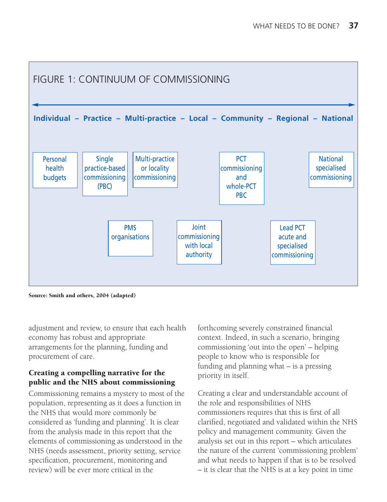

**Source: Smith and others, 2004 (adapted)**

adjustment and review, to ensure that each health economy has robust and appropriate arrangements for the planning, funding and procurement of care.

#### **Creating a compelling narrative for the public and the NHS about commissioning**

Commissioning remains a mystery to most of the population, representing as it does a function in the NHS that would more commonly be considered as 'funding and planning'. It is clear from the analysis made in this report that the elements of commissioning as understood in the NHS (needs assessment, priority setting, service specification, procurement, monitoring and review) will be ever more critical in the

forthcoming severely constrained financial context. Indeed, in such a scenario, bringing commissioning 'out into the open' – helping people to know who is responsible for funding and planning what – is a pressing priority in itself.

Creating a clear and understandable account of the role and responsibilities of NHS commissioners requires that this is first of all clarified, negotiated and validated within the NHS policy and management community. Given the analysis set out in this report – which articulates the nature of the current 'commissioning problem' and what needs to happen if that is to be resolved – it is clear that the NHS is at a key point in time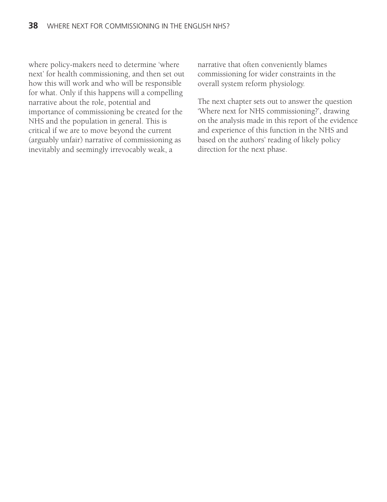where policy-makers need to determine 'where next' for health commissioning, and then set out how this will work and who will be responsible for what. Only if this happens will a compelling narrative about the role, potential and importance of commissioning be created for the NHS and the population in general. This is critical if we are to move beyond the current (arguably unfair) narrative of commissioning as inevitably and seemingly irrevocably weak, a

narrative that often conveniently blames commissioning for wider constraints in the overall system reform physiology.

The next chapter sets out to answer the question 'Where next for NHS commissioning?', drawing on the analysis made in this report of the evidence and experience of this function in the NHS and based on the authors' reading of likely policy direction for the next phase.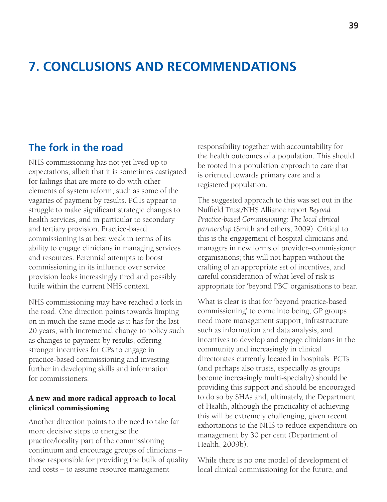# **7. CONCLUSIONS AND RECOMMENDATIONS**

### **The fork in the road**

NHS commissioning has not yet lived up to expectations, albeit that it is sometimes castigated for failings that are more to do with other elements of system reform, such as some of the vagaries of payment by results. PCTs appear to struggle to make significant strategic changes to health services, and in particular to secondary and tertiary provision. Practice-based commissioning is at best weak in terms of its ability to engage clinicians in managing services and resources. Perennial attempts to boost commissioning in its influence over service provision looks increasingly tired and possibly futile within the current NHS context.

NHS commissioning may have reached a fork in the road. One direction points towards limping on in much the same mode as it has for the last 20 years, with incremental change to policy such as changes to payment by results, offering stronger incentives for GPs to engage in practice-based commissioning and investing further in developing skills and information for commissioners.

#### **A new and more radical approach to local clinical commissioning**

Another direction points to the need to take far more decisive steps to energise the practice/locality part of the commissioning continuum and encourage groups of clinicians – those responsible for providing the bulk of quality and costs – to assume resource management

responsibility together with accountability for the health outcomes of a population. This should be rooted in a population approach to care that is oriented towards primary care and a registered population.

The suggested approach to this was set out in the Nuffield Trust/NHS Alliance report *Beyond Practice-based Commissioning: The local clinical partnership* (Smith and others, 2009). Critical to this is the engagement of hospital clinicians and managers in new forms of provider–commissioner organisations; this will not happen without the crafting of an appropriate set of incentives, and careful consideration of what level of risk is appropriate for 'beyond PBC' organisations to bear.

What is clear is that for 'beyond practice-based commissioning' to come into being, GP groups need more management support, infrastructure such as information and data analysis, and incentives to develop and engage clinicians in the community and increasingly in clinical directorates currently located in hospitals. PCTs (and perhaps also trusts, especially as groups become increasingly multi-specialty) should be providing this support and should be encouraged to do so by SHAs and, ultimately, the Department of Health, although the practicality of achieving this will be extremely challenging, given recent exhortations to the NHS to reduce expenditure on management by 30 per cent (Department of Health, 2009b).

While there is no one model of development of local clinical commissioning for the future, and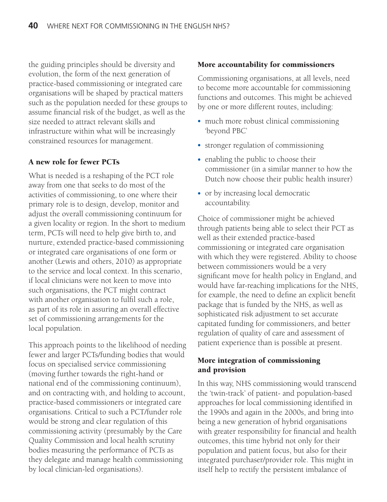the guiding principles should be diversity and evolution, the form of the next generation of practice-based commissioning or integrated care organisations will be shaped by practical matters such as the population needed for these groups to assume financial risk of the budget, as well as the size needed to attract relevant skills and infrastructure within what will be increasingly constrained resources for management.

#### **A new role for fewer PCTs**

What is needed is a reshaping of the PCT role away from one that seeks to do most of the activities of commissioning, to one where their primary role is to design, develop, monitor and adjust the overall commissioning continuum for a given locality or region. In the short to medium term, PCTs will need to help give birth to, and nurture, extended practice-based commissioning or integrated care organisations of one form or another (Lewis and others, 2010) as appropriate to the service and local context. In this scenario, if local clinicians were not keen to move into such organisations, the PCT might contract with another organisation to fulfil such a role, as part of its role in assuring an overall effective set of commissioning arrangements for the local population.

This approach points to the likelihood of needing fewer and larger PCTs/funding bodies that would focus on specialised service commissioning (moving further towards the right-hand or national end of the commissioning continuum), and on contracting with, and holding to account, practice-based commissioners or integrated care organisations. Critical to such a PCT/funder role would be strong and clear regulation of this commissioning activity (presumably by the Care Quality Commission and local health scrutiny bodies measuring the performance of PCTs as they delegate and manage health commissioning by local clinician-led organisations).

#### **More accountability for commissioners**

Commissioning organisations, at all levels, need to become more accountable for commissioning functions and outcomes. This might be achieved by one or more different routes, including:

- much more robust clinical commissioning 'beyond PBC'
- stronger regulation of commissioning
- enabling the public to choose their commissioner (in a similar manner to how the Dutch now choose their public health insurer)
- or by increasing local democratic accountability.

Choice of commissioner might be achieved through patients being able to select their PCT as well as their extended practice-based commissioning or integrated care organisation with which they were registered. Ability to choose between commissioners would be a very significant move for health policy in England, and would have far-reaching implications for the NHS, for example, the need to define an explicit benefit package that is funded by the NHS, as well as sophisticated risk adjustment to set accurate capitated funding for commissioners, and better regulation of quality of care and assessment of patient experience than is possible at present.

#### **More integration of commissioning and provision**

In this way, NHS commissioning would transcend the 'twin-track' of patient- and population-based approaches for local commissioning identified in the 1990s and again in the 2000s, and bring into being a new generation of hybrid organisations with greater responsibility for financial and health outcomes, this time hybrid not only for their population and patient focus, but also for their integrated purchaser/provider role. This might in itself help to rectify the persistent imbalance of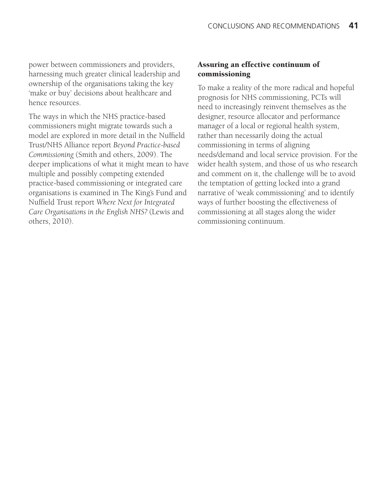power between commissioners and providers, harnessing much greater clinical leadership and ownership of the organisations taking the key 'make or buy' decisions about healthcare and hence resources.

The ways in which the NHS practice-based commissioners might migrate towards such a model are explored in more detail in the Nuffield Trust/NHS Alliance report *Beyond Practice-based Commissioning* (Smith and others, 2009). The deeper implications of what it might mean to have multiple and possibly competing extended practice-based commissioning or integrated care organisations is examined in The King's Fund and Nuffield Trust report *Where Next for Integrated Care Organisations in the English NHS?* (Lewis and others, 2010).

#### **Assuring an effective continuum of commissioning**

To make a reality of the more radical and hopeful prognosis for NHS commissioning, PCTs will need to increasingly reinvent themselves as the designer, resource allocator and performance manager of a local or regional health system, rather than necessarily doing the actual commissioning in terms of aligning needs/demand and local service provision. For the wider health system, and those of us who research and comment on it, the challenge will be to avoid the temptation of getting locked into a grand narrative of 'weak commissioning' and to identify ways of further boosting the effectiveness of commissioning at all stages along the wider commissioning continuum.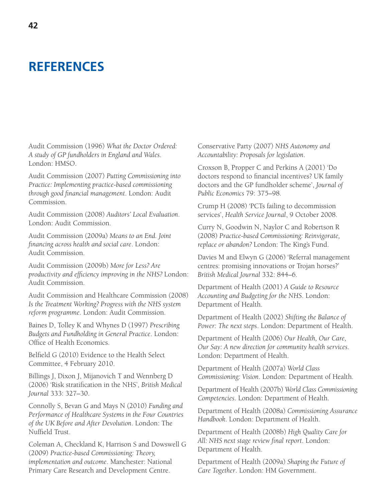# **REFERENCES**

Audit Commission (1996) *What the Doctor Ordered: A study of GP fundholders in England and Wales*. London: HMSO.

Audit Commission (2007) *Putting Commissioning into Practice: Implementing practice-based commissioning through good financial management*. London: Audit Commission.

Audit Commission (2008) *Auditors' Local Evaluation*. London: Audit Commission.

Audit Commission (2009a) *Means to an End. Joint financing across health and social care*. London: Audit Commission.

Audit Commission (2009b) *More for Less? Are productivity and efficiency improving in the NHS?* London: Audit Commission.

Audit Commission and Healthcare Commission (2008) *Is the Treatment Working? Progress with the NHS system reform programme*. London: Audit Commission.

Baines D, Tolley K and Whynes D (1997) *Prescribing Budgets and Fundholding in General Practice*. London: Office of Health Economics.

Belfield G (2010) Evidence to the Health Select Committee, 4 February 2010.

Billings J, Dixon J, Mijanovich T and Wennberg D (2006) 'Risk stratification in the NHS', *British Medical Journal* 333: 327–30.

Connolly S, Bevan G and Mays N (2010) *Funding and Performance of Healthcare Systems in the Four Countries of the UK Before and After Devolution*. London: The Nuffield Trust.

Coleman A, Checkland K, Harrison S and Dowswell G (2009) *Practice-based Commissioning: Theory, implementation and outcome*. Manchester: National Primary Care Research and Development Centre.

Conservative Party (2007) *NHS Autonomy and Accountability: Proposals for legislation*.

Croxson B, Propper C and Perkins A (2001) 'Do doctors respond to financial incentives? UK family doctors and the GP fundholder scheme', *Journal of Public Economics* 79: 375–98.

Crump H (2008) 'PCTs failing to decommission services', *Health Service Journal*, 9 October 2008.

Curry N, Goodwin N, Naylor C and Robertson R (2008) *Practice-based Commissioning: Reinvigorate, replace or abandon?* London: The King's Fund.

Davies M and Elwyn G (2006) 'Referral management centres: promising innovations or Trojan horses?' *British Medical Journal* 332: 844–6.

Department of Health (2001) *A Guide to Resource Accounting and Budgeting for the NHS*. London: Department of Health.

Department of Health (2002) *Shifting the Balance of Power: The next steps*. London: Department of Health.

Department of Health (2006) *Our Health, Our Care, Our Say: A new direction for community health services*. London: Department of Health.

Department of Health (2007a) *World Class Commissioning: Vision*. London: Department of Health.

Department of Health (2007b) *World Class Commissioning Competencies*. London: Department of Health.

Department of Health (2008a) *Commissioning Assurance Handbook*. London: Department of Health.

Department of Health (2008b) *High Quality Care for All: NHS next stage review final report*. London: Department of Health.

Department of Health (2009a) *Shaping the Future of Care Together*. London: HM Government.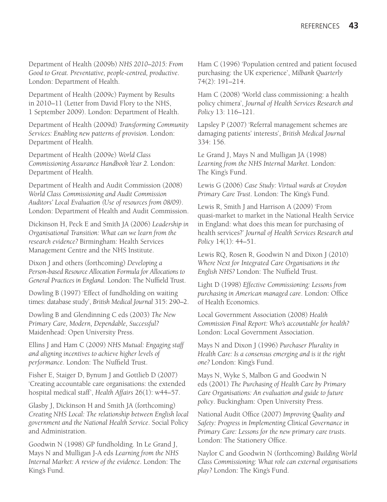Department of Health (2009b) *NHS 2010–2015: From Good to Great. Preventative, people-centred, productive*. London: Department of Health.

Department of Health (2009c) Payment by Results in 2010–11 (Letter from David Flory to the NHS, 1 September 2009). London: Department of Health.

Department of Health (2009d) *Transforming Community Services: Enabling new patterns of provision*. London: Department of Health.

Department of Health (2009e) *World Class Commissioning Assurance Handbook Year 2.* London: Department of Health.

Department of Health and Audit Commission (2008) *World Class Commissioning and Audit Commission Auditors' Local Evaluation (Use of resources from 08/09)*. London: Department of Health and Audit Commission.

Dickinson H, Peck E and Smith JA (2006) *Leadership in Organisational Transition: What can we learn from the research evidence?* Birmingham: Health Services Management Centre and the NHS Institute.

Dixon J and others (forthcoming) *Developing a Person-based Resource Allocation Formula for Allocations to General Practices in England*. London: The Nuffield Trust.

Dowling B (1997) 'Effect of fundholding on waiting times: database study', *British Medical Journal* 315: 290–2.

Dowling B and Glendinning C eds (2003) *The New Primary Care, Modern, Dependable, Successful?* Maidenhead: Open University Press.

Ellins J and Ham C (2009) *NHS Mutual: Engaging staff and aligning incentives to achieve higher levels of performance*. London: The Nuffield Trust.

Fisher E, Staiger D, Bynum J and Gottlieb D (2007) 'Creating accountable care organisations: the extended hospital medical staff', *Health Affairs* 26(1): w44–57.

Glasby J, Dickinson H and Smith JA (forthcoming) *Creating NHS Local: The relationship between English local government and the National Health Service*. Social Policy and Administration.

Goodwin N (1998) GP fundholding. In Le Grand J, Mays N and Mulligan J-A eds *Learning from the NHS Internal Market: A review of the evidence*. London: The King's Fund.

Ham C (1996) 'Population centred and patient focused purchasing: the UK experience', *Milbank Quarterly* 74(2): 191–214.

Ham C (2008) 'World class commissioning: a health policy chimera', *Journal of Health Services Research and Policy* 13: 116–121.

Lapsley P (2007) 'Referral management schemes are damaging patients' interests', *British Medical Journal* 334: 156.

Le Grand J, Mays N and Mulligan JA (1998) *Learning from the NHS Internal Market*. London: The King's Fund.

Lewis G (2006) *Case Study: Virtual wards at Croydon Primary Care Trust*. London: The King's Fund.

Lewis R, Smith J and Harrison A (2009) 'From quasi-market to market in the National Health Service in England: what does this mean for purchasing of health services?' *Journal of Health Services Research and Policy* 14(1): 44–51.

Lewis RQ, Rosen R, Goodwin N and Dixon J (2010) *Where Next for Integrated Care Organisations in the English NHS?* London: The Nuffield Trust.

Light D (1998) *Effective Commissioning: Lessons from purchasing in American managed care*. London: Office of Health Economics.

Local Government Association (2008) *Health Commission Final Report: Who's accountable for health?* London: Local Government Association.

Mays N and Dixon J (1996) *Purchaser Plurality in Health Care: Is a consensus emerging and is it the right one?* London: King's Fund.

Mays N, Wyke S, Malbon G and Goodwin N eds (2001) *The Purchasing of Health Care by Primary Care Organisations: An evaluation and guide to future policy*. Buckingham: Open University Press.

National Audit Office (2007) *Improving Quality and Safety: Progress in Implementing Clinical Governance in Primary Care: Lessons for the new primary care trusts*. London: The Stationery Office.

Naylor C and Goodwin N (forthcoming) *Building World Class Commissioning: What role can external organisations play?* London: The King's Fund.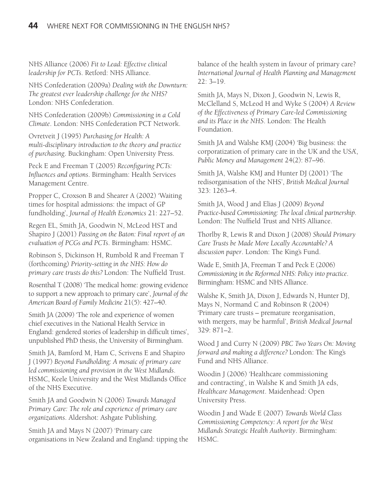NHS Alliance (2006) *Fit to Lead: Effective clinical leadership for PCTs*. Retford: NHS Alliance.

NHS Confederation (2009a) *Dealing with the Downturn: The greatest ever leadership challenge for the NHS?* London: NHS Confederation.

NHS Confederation (2009b) *Commissioning in a Cold Climate*. London: NHS Confederation PCT Network.

Ovretveit J (1995) *Purchasing for Health: A multi-disciplinary introduction to the theory and practice of purchasing*. Buckingham: Open University Press.

Peck E and Freeman T (2005) *Reconfiguring PCTs: Influences and options*. Birmingham: Health Services Management Centre.

Propper C, Croxson B and Shearer A (2002) 'Waiting times for hospital admissions: the impact of GP fundholding', *Journal of Health Economics* 21: 227–52.

Regen EL, Smith JA, Goodwin N, McLeod HST and Shapiro J (2001) *Passing on the Baton: Final report of an evaluation of PCGs and PCTs*. Birmingham: HSMC.

Robinson S, Dickinson H, Rumbold R and Freeman T (forthcoming) *Priority-setting in the NHS: How do primary care trusts do this?* London: The Nuffield Trust.

Rosenthal T (2008) 'The medical home: growing evidence to support a new approach to primary care', *Journal of the American Board of Family Medicine* 21(5): 427–40.

Smith JA (2009) 'The role and experience of women chief executives in the National Health Service in England: gendered stories of leadership in difficult times', unpublished PhD thesis, the University of Birmingham.

Smith JA, Bamford M, Ham C, Scrivens E and Shapiro J (1997) *Beyond Fundholding: A mosaic of primary care led commissioning and provision in the West Midlands*. HSMC, Keele University and the West Midlands Office of the NHS Executive.

Smith JA and Goodwin N (2006) *Towards Managed Primary Care: The role and experience of primary care organizations*. Aldershot: Ashgate Publishing.

Smith JA and Mays N (2007) 'Primary care organisations in New Zealand and England: tipping the balance of the health system in favour of primary care? *International Journal of Health Planning and Management* 22: 3–19.

Smith JA, Mays N, Dixon J, Goodwin N, Lewis R, McClelland S, McLeod H and Wyke S (2004) *A Review of the Effectiveness of Primary Care-led Commissioning and its Place in the NHS*. London: The Health Foundation.

Smith JA and Walshe KMJ (2004) 'Big business: the corporatization of primary care in the UK and the USA', *Public Money and Management* 24(2): 87–96.

Smith JA, Walshe KMJ and Hunter DJ (2001) 'The redisorganisation of the NHS', *British Medical Journal* 323: 1263–4.

Smith JA, Wood J and Elias J (2009) *Beyond Practice-based Commissioning: The local clinical partnership*. London: The Nuffield Trust and NHS Alliance.

Thorlby R, Lewis R and Dixon J (2008) *Should Primary Care Trusts be Made More Locally Accountable? A discussion paper*. London: The King's Fund.

Wade E, Smith JA, Freeman T and Peck E (2006) *Commissioning in the Reformed NHS: Policy into practice*. Birmingham: HSMC and NHS Alliance.

Walshe K, Smith JA, Dixon J, Edwards N, Hunter DJ, Mays N, Normand C and Robinson R (2004) 'Primary care trusts – premature reorganisation, with mergers, may be harmful', *British Medical Journal* 329: 871–2.

Wood J and Curry N (2009) *PBC Two Years On: Moving forward and making a difference?* London: The King's Fund and NHS Alliance.

Woodin J (2006) 'Healthcare commissioning and contracting', in Walshe K and Smith JA eds, *Healthcare Management*. Maidenhead: Open University Press.

Woodin J and Wade E (2007) *Towards World Class Commissioning Competency: A report for the West Midlands Strategic Health Authority*. Birmingham: HSMC.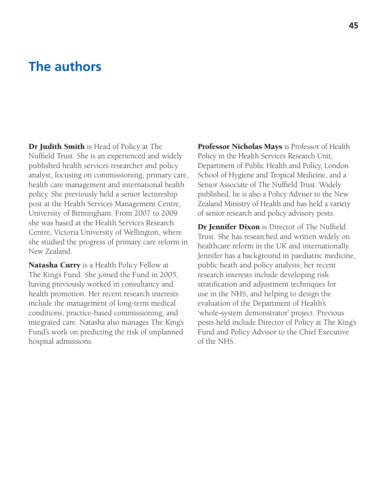# **The authors**

**Dr Judith Smith** is Head of Policy at The Nuffield Trust. She is an experienced and widely published health services researcher and policy analyst, focusing on commissioning, primary care, health care management and international health policy. She previously held a senior lectureship post at the Health Services Management Centre, University of Birmingham. From 2007 to 2009 she was based at the Health Services Research Centre, Victoria University of Wellington, where she studied the progress of primary care reform in New Zealand.

**Natasha Curry** is a Health Policy Fellow at The King's Fund. She joined the Fund in 2005, having previously worked in consultancy and health promotion. Her recent research interests include the management of long-term medical conditions, practice-based commissioning, and integrated care. Natasha also manages The King's Fund's work on predicting the risk of unplanned hospital admissions.

**Professor Nicholas Mays** is Professor of Health Policy in the Health Services Research Unit, Department of Public Health and Policy, London School of Hygiene and Tropical Medicine, and a Senior Associate of The Nuffield Trust. Widely published, he is also a Policy Adviser to the New Zealand Ministry of Health and has held a variety of senior research and policy advisory posts.

**Dr Jennifer Dixon** is Director of The Nuffield Trust. She has researched and written widely on healthcare reform in the UK and internationally. Jennifer has a background in paediatric medicine, public heath and policy analysis; her recent research interests include developing risk stratification and adjustment techniques for use in the NHS, and helping to design the evaluation of the Department of Health's 'whole-system demonstrator' project. Previous posts held include Director of Policy at The King's Fund and Policy Advisor to the Chief Executive of the NHS.